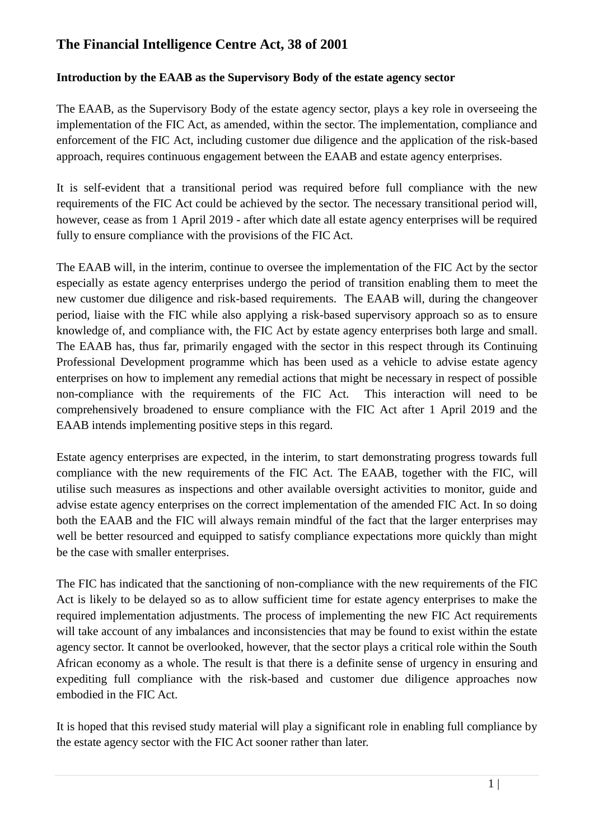# **The Financial Intelligence Centre Act, 38 of 2001**

### **Introduction by the EAAB as the Supervisory Body of the estate agency sector**

The EAAB, as the Supervisory Body of the estate agency sector, plays a key role in overseeing the implementation of the FIC Act, as amended, within the sector. The implementation, compliance and enforcement of the FIC Act, including customer due diligence and the application of the risk-based approach, requires continuous engagement between the EAAB and estate agency enterprises.

It is self-evident that a transitional period was required before full compliance with the new requirements of the FIC Act could be achieved by the sector. The necessary transitional period will, however, cease as from 1 April 2019 - after which date all estate agency enterprises will be required fully to ensure compliance with the provisions of the FIC Act.

The EAAB will, in the interim, continue to oversee the implementation of the FIC Act by the sector especially as estate agency enterprises undergo the period of transition enabling them to meet the new customer due diligence and risk-based requirements. The EAAB will, during the changeover period, liaise with the FIC while also applying a risk-based supervisory approach so as to ensure knowledge of, and compliance with, the FIC Act by estate agency enterprises both large and small. The EAAB has, thus far, primarily engaged with the sector in this respect through its Continuing Professional Development programme which has been used as a vehicle to advise estate agency enterprises on how to implement any remedial actions that might be necessary in respect of possible non-compliance with the requirements of the FIC Act. This interaction will need to be comprehensively broadened to ensure compliance with the FIC Act after 1 April 2019 and the EAAB intends implementing positive steps in this regard.

Estate agency enterprises are expected, in the interim, to start demonstrating progress towards full compliance with the new requirements of the FIC Act. The EAAB, together with the FIC, will utilise such measures as inspections and other available oversight activities to monitor, guide and advise estate agency enterprises on the correct implementation of the amended FIC Act. In so doing both the EAAB and the FIC will always remain mindful of the fact that the larger enterprises may well be better resourced and equipped to satisfy compliance expectations more quickly than might be the case with smaller enterprises.

The FIC has indicated that the sanctioning of non-compliance with the new requirements of the FIC Act is likely to be delayed so as to allow sufficient time for estate agency enterprises to make the required implementation adjustments. The process of implementing the new FIC Act requirements will take account of any imbalances and inconsistencies that may be found to exist within the estate agency sector. It cannot be overlooked, however, that the sector plays a critical role within the South African economy as a whole. The result is that there is a definite sense of urgency in ensuring and expediting full compliance with the risk-based and customer due diligence approaches now embodied in the FIC Act.

It is hoped that this revised study material will play a significant role in enabling full compliance by the estate agency sector with the FIC Act sooner rather than later.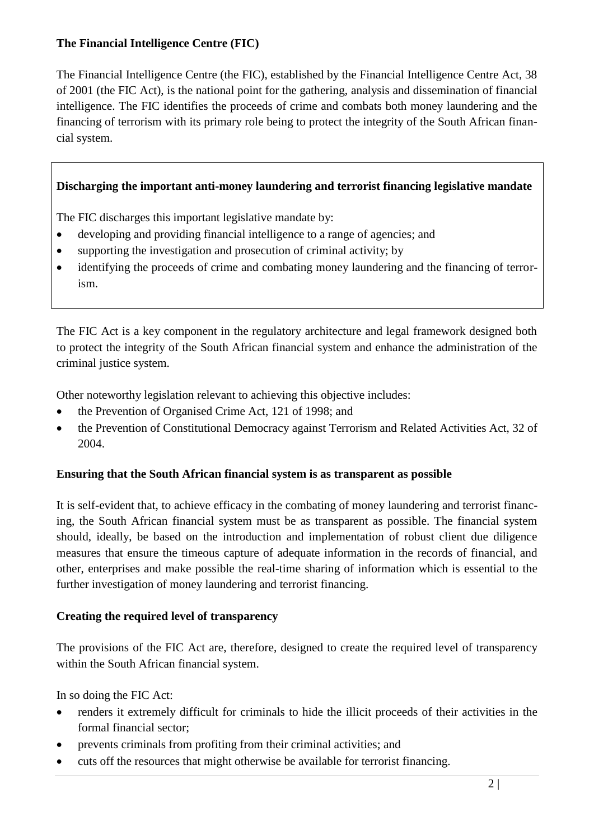# **The Financial Intelligence Centre (FIC)**

The Financial Intelligence Centre (the FIC), established by the Financial Intelligence Centre Act, 38 of 2001 (the FIC Act), is the national point for the gathering, analysis and dissemination of financial intelligence. The FIC identifies the proceeds of crime and combats both money laundering and the financing of terrorism with its primary role being to protect the integrity of the South African financial system.

### **Discharging the important anti-money laundering and terrorist financing legislative mandate**

The FIC discharges this important legislative mandate by:

- developing and providing financial intelligence to a range of agencies; and
- supporting the investigation and prosecution of criminal activity; by
- identifying the proceeds of crime and combating money laundering and the financing of terrorism.

The FIC Act is a key component in the regulatory architecture and legal framework designed both to protect the integrity of the South African financial system and enhance the administration of the criminal justice system.

Other noteworthy legislation relevant to achieving this objective includes:

- the Prevention of Organised Crime Act, 121 of 1998; and
- the Prevention of Constitutional Democracy against Terrorism and Related Activities Act, 32 of 2004.

#### **Ensuring that the South African financial system is as transparent as possible**

It is self-evident that, to achieve efficacy in the combating of money laundering and terrorist financing, the South African financial system must be as transparent as possible. The financial system should, ideally, be based on the introduction and implementation of robust client due diligence measures that ensure the timeous capture of adequate information in the records of financial, and other, enterprises and make possible the real-time sharing of information which is essential to the further investigation of money laundering and terrorist financing.

#### **Creating the required level of transparency**

The provisions of the FIC Act are, therefore, designed to create the required level of transparency within the South African financial system.

In so doing the FIC Act:

- renders it extremely difficult for criminals to hide the illicit proceeds of their activities in the formal financial sector;
- prevents criminals from profiting from their criminal activities; and
- cuts off the resources that might otherwise be available for terrorist financing.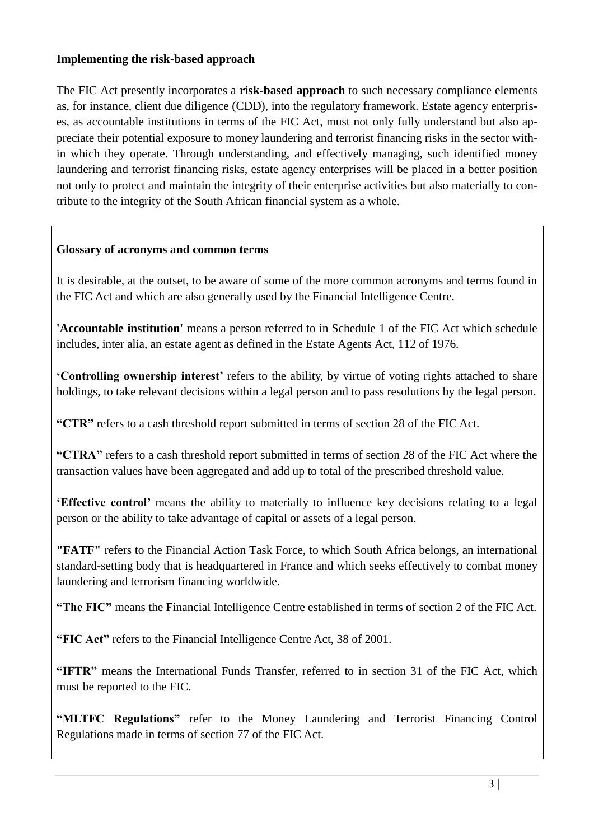#### **Implementing the risk-based approach**

The FIC Act presently incorporates a **risk-based approach** to such necessary compliance elements as, for instance, client due diligence (CDD), into the regulatory framework. Estate agency enterprises, as accountable institutions in terms of the FIC Act, must not only fully understand but also appreciate their potential exposure to money laundering and terrorist financing risks in the sector within which they operate. Through understanding, and effectively managing, such identified money laundering and terrorist financing risks, estate agency enterprises will be placed in a better position not only to protect and maintain the integrity of their enterprise activities but also materially to contribute to the integrity of the South African financial system as a whole.

### **Glossary of acronyms and common terms**

It is desirable, at the outset, to be aware of some of the more common acronyms and terms found in the FIC Act and which are also generally used by the Financial Intelligence Centre.

**'Accountable institution'** means a person referred to in Schedule 1 of the FIC Act which schedule includes, inter alia, an estate agent as defined in the Estate Agents Act, 112 of 1976.

**'Controlling ownership interest'** refers to the ability, by virtue of voting rights attached to share holdings, to take relevant decisions within a legal person and to pass resolutions by the legal person.

**"CTR"** refers to a cash threshold report submitted in terms of section 28 of the FIC Act.

**"CTRA"** refers to a cash threshold report submitted in terms of section 28 of the FIC Act where the transaction values have been aggregated and add up to total of the prescribed threshold value.

**'Effective control'** means the ability to materially to influence key decisions relating to a legal person or the ability to take advantage of capital or assets of a legal person.

**"FATF"** refers to the Financial Action Task Force, to which South Africa belongs, an international standard-setting body that is headquartered in France and which seeks effectively to combat money laundering and terrorism financing worldwide.

**"The FIC"** means the Financial Intelligence Centre established in terms of section 2 of the FIC Act.

**"FIC Act"** refers to the Financial Intelligence Centre Act, 38 of 2001.

**"IFTR"** means the International Funds Transfer, referred to in section 31 of the FIC Act, which must be reported to the FIC.

**"MLTFC Regulations"** refer to the Money Laundering and Terrorist Financing Control Regulations made in terms of section 77 of the FIC Act.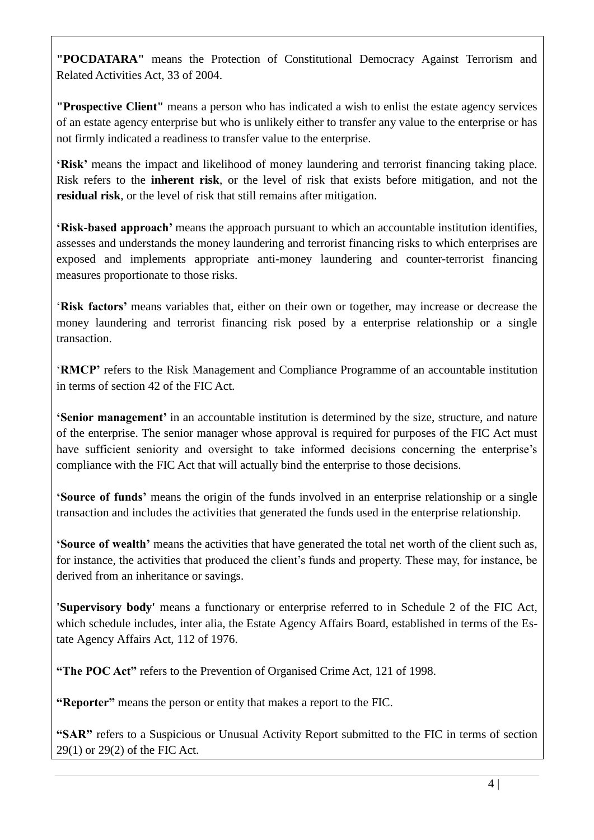**"POCDATARA"** means the Protection of Constitutional Democracy Against Terrorism and Related Activities Act, 33 of 2004.

**"Prospective Client"** means a person who has indicated a wish to enlist the estate agency services of an estate agency enterprise but who is unlikely either to transfer any value to the enterprise or has not firmly indicated a readiness to transfer value to the enterprise.

**'Risk'** means the impact and likelihood of money laundering and terrorist financing taking place. Risk refers to the **inherent risk**, or the level of risk that exists before mitigation, and not the **residual risk**, or the level of risk that still remains after mitigation.

**'Risk-based approach'** means the approach pursuant to which an accountable institution identifies, assesses and understands the money laundering and terrorist financing risks to which enterprises are exposed and implements appropriate anti-money laundering and counter-terrorist financing measures proportionate to those risks.

'**Risk factors'** means variables that, either on their own or together, may increase or decrease the money laundering and terrorist financing risk posed by a enterprise relationship or a single transaction.

'**RMCP'** refers to the Risk Management and Compliance Programme of an accountable institution in terms of section 42 of the FIC Act.

**'Senior management'** in an accountable institution is determined by the size, structure, and nature of the enterprise. The senior manager whose approval is required for purposes of the FIC Act must have sufficient seniority and oversight to take informed decisions concerning the enterprise's compliance with the FIC Act that will actually bind the enterprise to those decisions.

**'Source of funds'** means the origin of the funds involved in an enterprise relationship or a single transaction and includes the activities that generated the funds used in the enterprise relationship.

**'Source of wealth'** means the activities that have generated the total net worth of the client such as, for instance, the activities that produced the client's funds and property. These may, for instance, be derived from an inheritance or savings.

**'Supervisory body'** means a functionary or enterprise referred to in Schedule 2 of the FIC Act, which schedule includes, inter alia, the Estate Agency Affairs Board, established in terms of the Estate Agency Affairs Act, 112 of 1976.

**"The POC Act"** refers to the Prevention of Organised Crime Act, 121 of 1998.

**"Reporter"** means the person or entity that makes a report to the FIC.

**"SAR"** refers to a Suspicious or Unusual Activity Report submitted to the FIC in terms of section 29(1) or 29(2) of the FIC Act.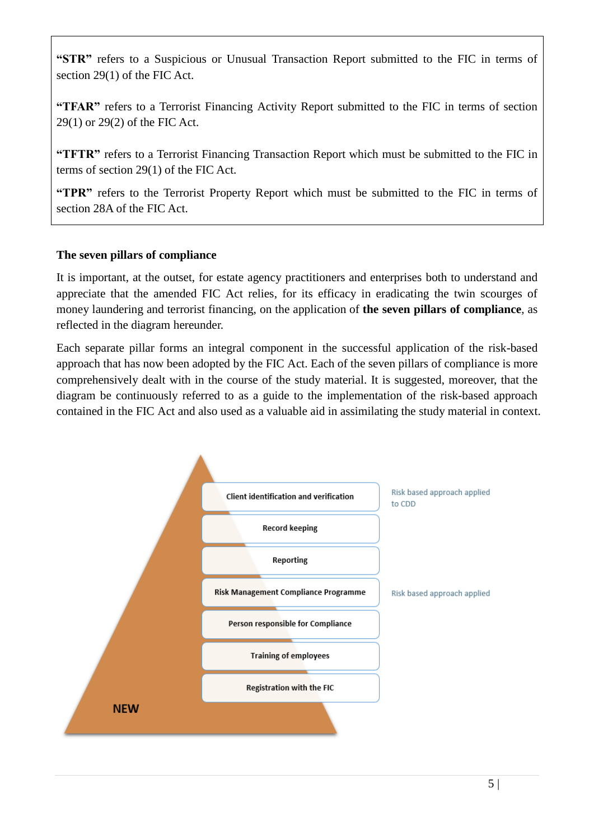**"STR"** refers to a Suspicious or Unusual Transaction Report submitted to the FIC in terms of section 29(1) of the FIC Act.

**"TFAR"** refers to a Terrorist Financing Activity Report submitted to the FIC in terms of section 29(1) or 29(2) of the FIC Act.

**"TFTR"** refers to a Terrorist Financing Transaction Report which must be submitted to the FIC in terms of section 29(1) of the FIC Act.

**"TPR"** refers to the Terrorist Property Report which must be submitted to the FIC in terms of section 28A of the FIC Act.

### **The seven pillars of compliance**

It is important, at the outset, for estate agency practitioners and enterprises both to understand and appreciate that the amended FIC Act relies, for its efficacy in eradicating the twin scourges of money laundering and terrorist financing, on the application of **the seven pillars of compliance**, as reflected in the diagram hereunder.

Each separate pillar forms an integral component in the successful application of the risk-based approach that has now been adopted by the FIC Act. Each of the seven pillars of compliance is more comprehensively dealt with in the course of the study material. It is suggested, moreover, that the diagram be continuously referred to as a guide to the implementation of the risk-based approach contained in the FIC Act and also used as a valuable aid in assimilating the study material in context.

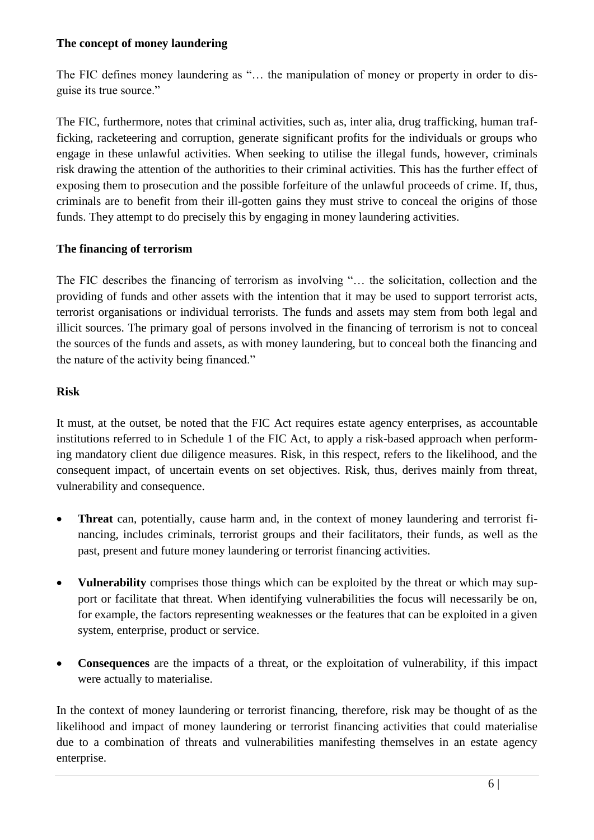#### **The concept of money laundering**

The FIC defines money laundering as "... the manipulation of money or property in order to disguise its true source."

The FIC, furthermore, notes that criminal activities, such as, inter alia, drug trafficking, human trafficking, racketeering and corruption, generate significant profits for the individuals or groups who engage in these unlawful activities. When seeking to utilise the illegal funds, however, criminals risk drawing the attention of the authorities to their criminal activities. This has the further effect of exposing them to prosecution and the possible forfeiture of the unlawful proceeds of crime. If, thus, criminals are to benefit from their ill-gotten gains they must strive to conceal the origins of those funds. They attempt to do precisely this by engaging in money laundering activities.

### **The financing of terrorism**

The FIC describes the financing of terrorism as involving "… the solicitation, collection and the providing of funds and other assets with the intention that it may be used to support terrorist acts, terrorist organisations or individual terrorists. The funds and assets may stem from both legal and illicit sources. The primary goal of persons involved in the financing of terrorism is not to conceal the sources of the funds and assets, as with money laundering, but to conceal both the financing and the nature of the activity being financed."

### **Risk**

It must, at the outset, be noted that the FIC Act requires estate agency enterprises, as accountable institutions referred to in Schedule 1 of the FIC Act, to apply a risk-based approach when performing mandatory client due diligence measures. Risk, in this respect, refers to the likelihood, and the consequent impact, of uncertain events on set objectives. Risk, thus, derives mainly from threat, vulnerability and consequence.

- **Threat** can, potentially, cause harm and, in the context of money laundering and terrorist financing, includes criminals, terrorist groups and their facilitators, their funds, as well as the past, present and future money laundering or terrorist financing activities.
- **Vulnerability** comprises those things which can be exploited by the threat or which may support or facilitate that threat. When identifying vulnerabilities the focus will necessarily be on, for example, the factors representing weaknesses or the features that can be exploited in a given system, enterprise, product or service.
- **Consequences** are the impacts of a threat, or the exploitation of vulnerability, if this impact were actually to materialise.

In the context of money laundering or terrorist financing, therefore, risk may be thought of as the likelihood and impact of money laundering or terrorist financing activities that could materialise due to a combination of threats and vulnerabilities manifesting themselves in an estate agency enterprise.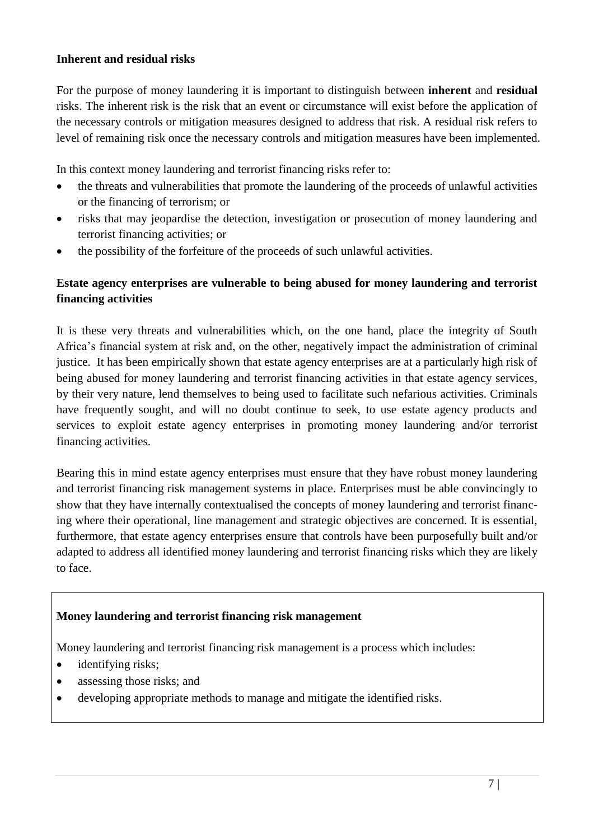#### **Inherent and residual risks**

For the purpose of money laundering it is important to distinguish between **inherent** and **residual** risks. The inherent risk is the risk that an event or circumstance will exist before the application of the necessary controls or mitigation measures designed to address that risk. A residual risk refers to level of remaining risk once the necessary controls and mitigation measures have been implemented.

In this context money laundering and terrorist financing risks refer to:

- the threats and vulnerabilities that promote the laundering of the proceeds of unlawful activities or the financing of terrorism; or
- risks that may jeopardise the detection, investigation or prosecution of money laundering and terrorist financing activities; or
- the possibility of the forfeiture of the proceeds of such unlawful activities.

# **Estate agency enterprises are vulnerable to being abused for money laundering and terrorist financing activities**

It is these very threats and vulnerabilities which, on the one hand, place the integrity of South Africa's financial system at risk and, on the other, negatively impact the administration of criminal justice. It has been empirically shown that estate agency enterprises are at a particularly high risk of being abused for money laundering and terrorist financing activities in that estate agency services, by their very nature, lend themselves to being used to facilitate such nefarious activities. Criminals have frequently sought, and will no doubt continue to seek, to use estate agency products and services to exploit estate agency enterprises in promoting money laundering and/or terrorist financing activities.

Bearing this in mind estate agency enterprises must ensure that they have robust money laundering and terrorist financing risk management systems in place. Enterprises must be able convincingly to show that they have internally contextualised the concepts of money laundering and terrorist financing where their operational, line management and strategic objectives are concerned. It is essential, furthermore, that estate agency enterprises ensure that controls have been purposefully built and/or adapted to address all identified money laundering and terrorist financing risks which they are likely to face.

#### **Money laundering and terrorist financing risk management**

Money laundering and terrorist financing risk management is a process which includes:

- identifying risks;
- assessing those risks; and
- developing appropriate methods to manage and mitigate the identified risks.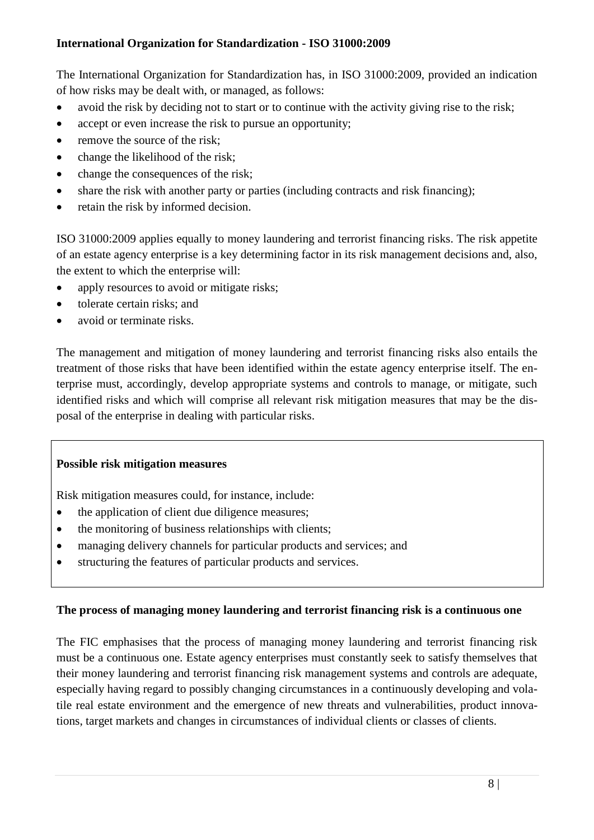### **International Organization for Standardization - ISO 31000:2009**

The International Organization for Standardization has, in ISO 31000:2009, provided an indication of how risks may be dealt with, or managed, as follows:

- avoid the risk by deciding not to start or to continue with the activity giving rise to the risk;
- accept or even increase the risk to pursue an opportunity;
- remove the source of the risk;
- change the likelihood of the risk;
- change the consequences of the risk;
- share the risk with another party or parties (including contracts and risk financing);
- retain the risk by informed decision.

ISO 31000:2009 applies equally to money laundering and terrorist financing risks. The risk appetite of an estate agency enterprise is a key determining factor in its risk management decisions and, also, the extent to which the enterprise will:

- apply resources to avoid or mitigate risks;
- tolerate certain risks; and
- avoid or terminate risks.

The management and mitigation of money laundering and terrorist financing risks also entails the treatment of those risks that have been identified within the estate agency enterprise itself. The enterprise must, accordingly, develop appropriate systems and controls to manage, or mitigate, such identified risks and which will comprise all relevant risk mitigation measures that may be the disposal of the enterprise in dealing with particular risks.

# **Possible risk mitigation measures**

Risk mitigation measures could, for instance, include:

- the application of client due diligence measures;
- the monitoring of business relationships with clients;
- managing delivery channels for particular products and services; and
- structuring the features of particular products and services.

#### **The process of managing money laundering and terrorist financing risk is a continuous one**

The FIC emphasises that the process of managing money laundering and terrorist financing risk must be a continuous one. Estate agency enterprises must constantly seek to satisfy themselves that their money laundering and terrorist financing risk management systems and controls are adequate, especially having regard to possibly changing circumstances in a continuously developing and volatile real estate environment and the emergence of new threats and vulnerabilities, product innovations, target markets and changes in circumstances of individual clients or classes of clients.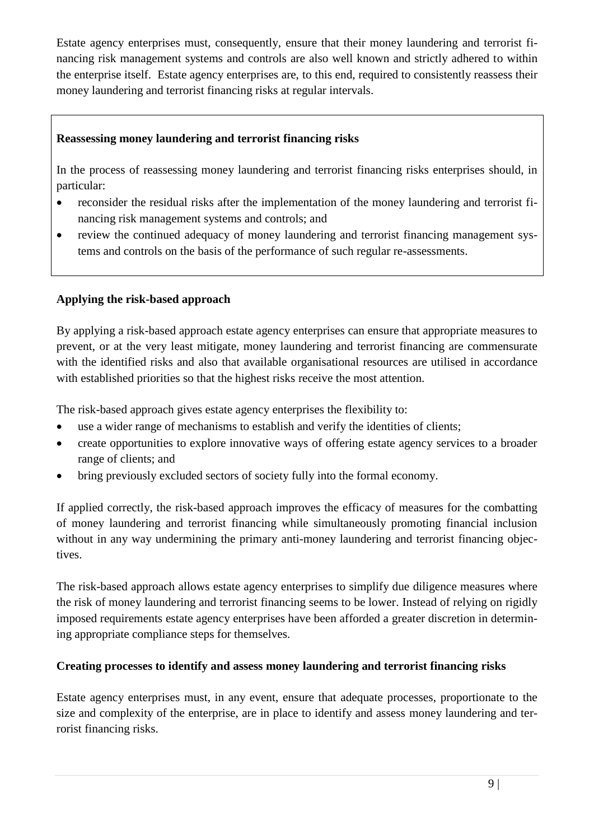Estate agency enterprises must, consequently, ensure that their money laundering and terrorist financing risk management systems and controls are also well known and strictly adhered to within the enterprise itself. Estate agency enterprises are, to this end, required to consistently reassess their money laundering and terrorist financing risks at regular intervals.

# **Reassessing money laundering and terrorist financing risks**

In the process of reassessing money laundering and terrorist financing risks enterprises should, in particular:

- reconsider the residual risks after the implementation of the money laundering and terrorist financing risk management systems and controls; and
- review the continued adequacy of money laundering and terrorist financing management systems and controls on the basis of the performance of such regular re-assessments.

# **Applying the risk-based approach**

By applying a risk-based approach estate agency enterprises can ensure that appropriate measures to prevent, or at the very least mitigate, money laundering and terrorist financing are commensurate with the identified risks and also that available organisational resources are utilised in accordance with established priorities so that the highest risks receive the most attention.

The risk-based approach gives estate agency enterprises the flexibility to:

- use a wider range of mechanisms to establish and verify the identities of clients;
- create opportunities to explore innovative ways of offering estate agency services to a broader range of clients; and
- bring previously excluded sectors of society fully into the formal economy.

If applied correctly, the risk-based approach improves the efficacy of measures for the combatting of money laundering and terrorist financing while simultaneously promoting financial inclusion without in any way undermining the primary anti-money laundering and terrorist financing objectives.

The risk-based approach allows estate agency enterprises to simplify due diligence measures where the risk of money laundering and terrorist financing seems to be lower. Instead of relying on rigidly imposed requirements estate agency enterprises have been afforded a greater discretion in determining appropriate compliance steps for themselves.

#### **Creating processes to identify and assess money laundering and terrorist financing risks**

Estate agency enterprises must, in any event, ensure that adequate processes, proportionate to the size and complexity of the enterprise, are in place to identify and assess money laundering and terrorist financing risks.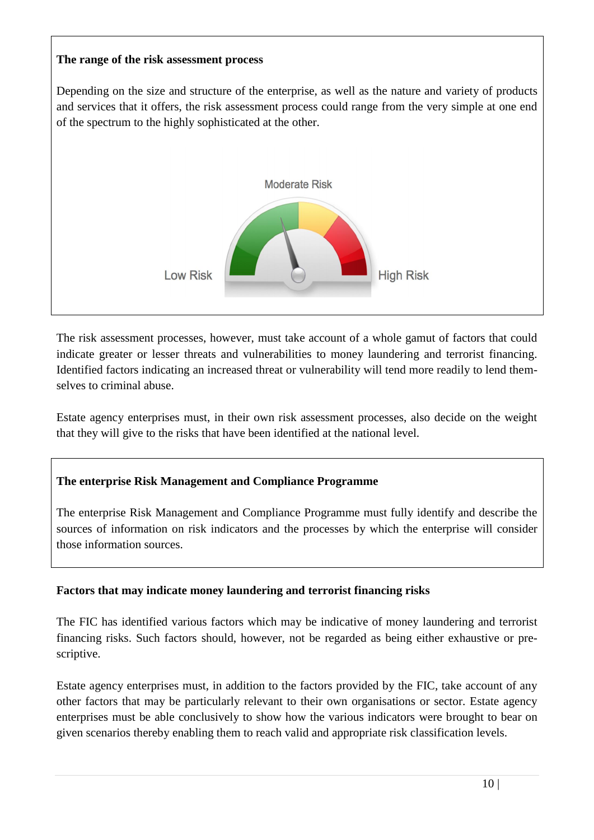### **The range of the risk assessment process**

Depending on the size and structure of the enterprise, as well as the nature and variety of products and services that it offers, the risk assessment process could range from the very simple at one end of the spectrum to the highly sophisticated at the other.



The risk assessment processes, however, must take account of a whole gamut of factors that could indicate greater or lesser threats and vulnerabilities to money laundering and terrorist financing. Identified factors indicating an increased threat or vulnerability will tend more readily to lend themselves to criminal abuse.

Estate agency enterprises must, in their own risk assessment processes, also decide on the weight that they will give to the risks that have been identified at the national level.

# **The enterprise Risk Management and Compliance Programme**

The enterprise Risk Management and Compliance Programme must fully identify and describe the sources of information on risk indicators and the processes by which the enterprise will consider those information sources.

# **Factors that may indicate money laundering and terrorist financing risks**

The FIC has identified various factors which may be indicative of money laundering and terrorist financing risks. Such factors should, however, not be regarded as being either exhaustive or prescriptive.

Estate agency enterprises must, in addition to the factors provided by the FIC, take account of any other factors that may be particularly relevant to their own organisations or sector. Estate agency enterprises must be able conclusively to show how the various indicators were brought to bear on given scenarios thereby enabling them to reach valid and appropriate risk classification levels.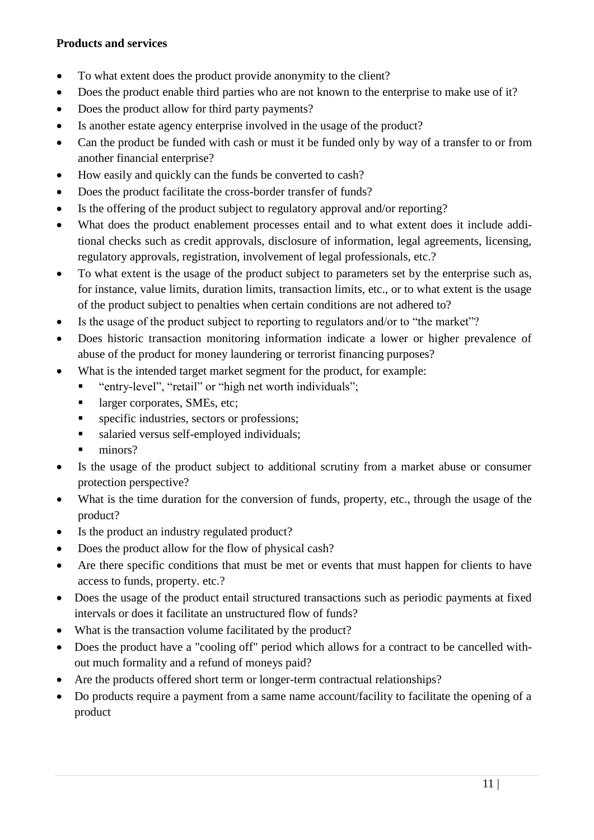#### **Products and services**

- To what extent does the product provide anonymity to the client?
- Does the product enable third parties who are not known to the enterprise to make use of it?
- Does the product allow for third party payments?
- Is another estate agency enterprise involved in the usage of the product?
- Can the product be funded with cash or must it be funded only by way of a transfer to or from another financial enterprise?
- How easily and quickly can the funds be converted to cash?
- Does the product facilitate the cross-border transfer of funds?
- Is the offering of the product subject to regulatory approval and/or reporting?
- What does the product enablement processes entail and to what extent does it include additional checks such as credit approvals, disclosure of information, legal agreements, licensing, regulatory approvals, registration, involvement of legal professionals, etc.?
- To what extent is the usage of the product subject to parameters set by the enterprise such as, for instance, value limits, duration limits, transaction limits, etc., or to what extent is the usage of the product subject to penalties when certain conditions are not adhered to?
- Is the usage of the product subject to reporting to regulators and/or to "the market"?
- Does historic transaction monitoring information indicate a lower or higher prevalence of abuse of the product for money laundering or terrorist financing purposes?
- What is the intended target market segment for the product, for example:
	- "entry-level", "retail" or "high net worth individuals";
	- **a** larger corporates, SMEs, etc;
	- **specific industries, sectors or professions;**
	- salaried versus self-employed individuals;
	- minors?
- Is the usage of the product subject to additional scrutiny from a market abuse or consumer protection perspective?
- What is the time duration for the conversion of funds, property, etc., through the usage of the product?
- Is the product an industry regulated product?
- Does the product allow for the flow of physical cash?
- Are there specific conditions that must be met or events that must happen for clients to have access to funds, property. etc.?
- Does the usage of the product entail structured transactions such as periodic payments at fixed intervals or does it facilitate an unstructured flow of funds?
- What is the transaction volume facilitated by the product?
- Does the product have a "cooling off" period which allows for a contract to be cancelled without much formality and a refund of moneys paid?
- Are the products offered short term or longer-term contractual relationships?
- Do products require a payment from a same name account/facility to facilitate the opening of a product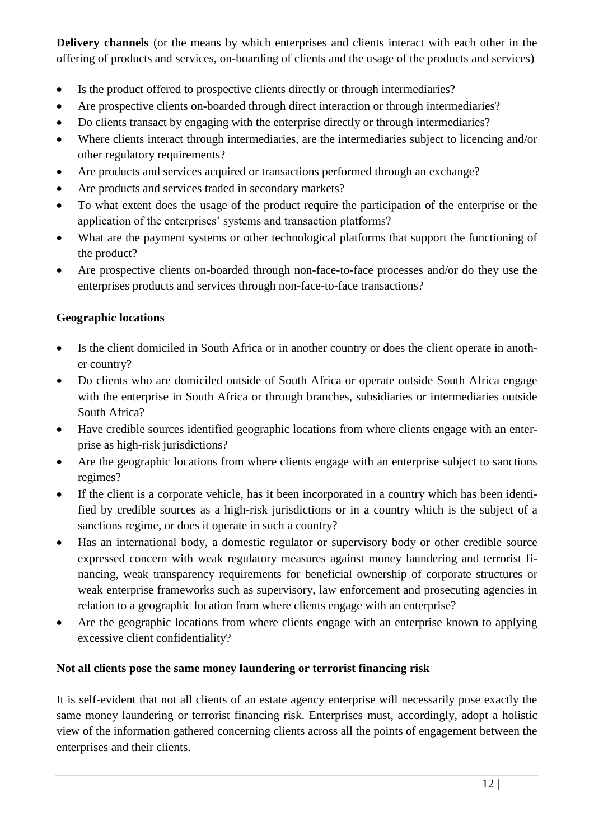**Delivery channels** (or the means by which enterprises and clients interact with each other in the offering of products and services, on-boarding of clients and the usage of the products and services)

- Is the product offered to prospective clients directly or through intermediaries?
- Are prospective clients on-boarded through direct interaction or through intermediaries?
- Do clients transact by engaging with the enterprise directly or through intermediaries?
- Where clients interact through intermediaries, are the intermediaries subject to licencing and/or other regulatory requirements?
- Are products and services acquired or transactions performed through an exchange?
- Are products and services traded in secondary markets?
- To what extent does the usage of the product require the participation of the enterprise or the application of the enterprises' systems and transaction platforms?
- What are the payment systems or other technological platforms that support the functioning of the product?
- Are prospective clients on-boarded through non-face-to-face processes and/or do they use the enterprises products and services through non-face-to-face transactions?

# **Geographic locations**

- Is the client domiciled in South Africa or in another country or does the client operate in another country?
- Do clients who are domiciled outside of South Africa or operate outside South Africa engage with the enterprise in South Africa or through branches, subsidiaries or intermediaries outside South Africa?
- Have credible sources identified geographic locations from where clients engage with an enterprise as high-risk jurisdictions?
- Are the geographic locations from where clients engage with an enterprise subject to sanctions regimes?
- If the client is a corporate vehicle, has it been incorporated in a country which has been identified by credible sources as a high-risk jurisdictions or in a country which is the subject of a sanctions regime, or does it operate in such a country?
- Has an international body, a domestic regulator or supervisory body or other credible source expressed concern with weak regulatory measures against money laundering and terrorist financing, weak transparency requirements for beneficial ownership of corporate structures or weak enterprise frameworks such as supervisory, law enforcement and prosecuting agencies in relation to a geographic location from where clients engage with an enterprise?
- Are the geographic locations from where clients engage with an enterprise known to applying excessive client confidentiality?

# **Not all clients pose the same money laundering or terrorist financing risk**

It is self-evident that not all clients of an estate agency enterprise will necessarily pose exactly the same money laundering or terrorist financing risk. Enterprises must, accordingly, adopt a holistic view of the information gathered concerning clients across all the points of engagement between the enterprises and their clients.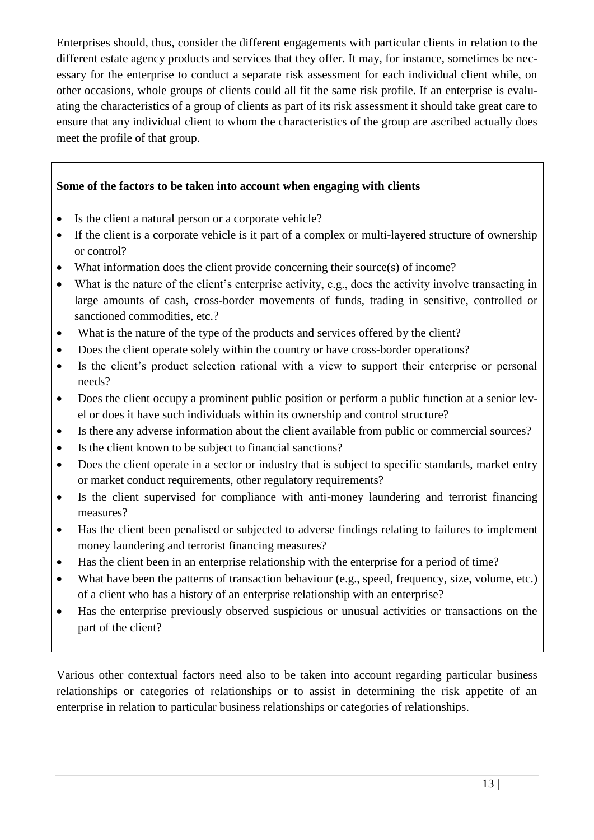Enterprises should, thus, consider the different engagements with particular clients in relation to the different estate agency products and services that they offer. It may, for instance, sometimes be necessary for the enterprise to conduct a separate risk assessment for each individual client while, on other occasions, whole groups of clients could all fit the same risk profile. If an enterprise is evaluating the characteristics of a group of clients as part of its risk assessment it should take great care to ensure that any individual client to whom the characteristics of the group are ascribed actually does meet the profile of that group.

# **Some of the factors to be taken into account when engaging with clients**

- Is the client a natural person or a corporate vehicle?
- If the client is a corporate vehicle is it part of a complex or multi-layered structure of ownership or control?
- What information does the client provide concerning their source(s) of income?
- What is the nature of the client's enterprise activity, e.g., does the activity involve transacting in large amounts of cash, cross-border movements of funds, trading in sensitive, controlled or sanctioned commodities, etc.?
- What is the nature of the type of the products and services offered by the client?
- Does the client operate solely within the country or have cross-border operations?
- Is the client's product selection rational with a view to support their enterprise or personal needs?
- Does the client occupy a prominent public position or perform a public function at a senior level or does it have such individuals within its ownership and control structure?
- Is there any adverse information about the client available from public or commercial sources?
- Is the client known to be subject to financial sanctions?
- Does the client operate in a sector or industry that is subject to specific standards, market entry or market conduct requirements, other regulatory requirements?
- Is the client supervised for compliance with anti-money laundering and terrorist financing measures?
- Has the client been penalised or subjected to adverse findings relating to failures to implement money laundering and terrorist financing measures?
- Has the client been in an enterprise relationship with the enterprise for a period of time?
- What have been the patterns of transaction behaviour (e.g., speed, frequency, size, volume, etc.) of a client who has a history of an enterprise relationship with an enterprise?
- Has the enterprise previously observed suspicious or unusual activities or transactions on the part of the client?

Various other contextual factors need also to be taken into account regarding particular business relationships or categories of relationships or to assist in determining the risk appetite of an enterprise in relation to particular business relationships or categories of relationships.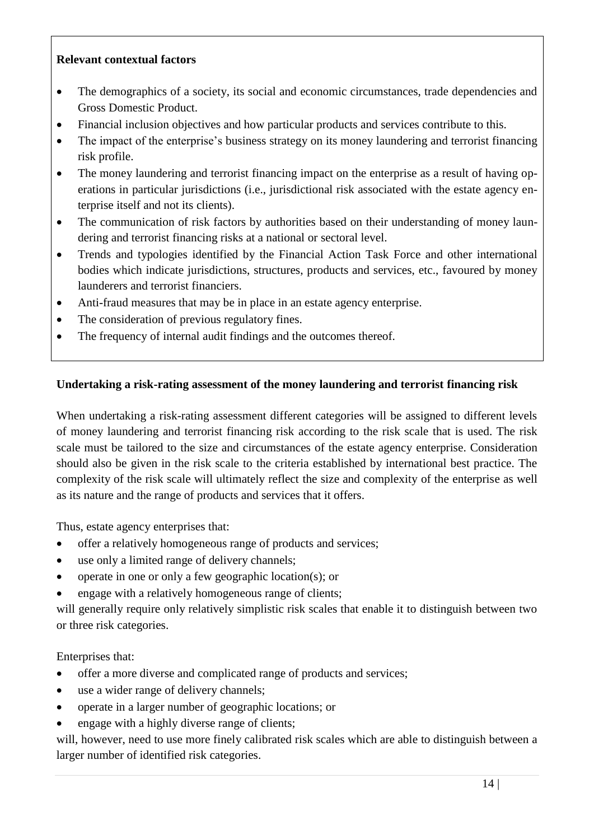#### **Relevant contextual factors**

- The demographics of a society, its social and economic circumstances, trade dependencies and Gross Domestic Product.
- Financial inclusion objectives and how particular products and services contribute to this.
- The impact of the enterprise's business strategy on its money laundering and terrorist financing risk profile.
- The money laundering and terrorist financing impact on the enterprise as a result of having operations in particular jurisdictions (i.e., jurisdictional risk associated with the estate agency enterprise itself and not its clients).
- The communication of risk factors by authorities based on their understanding of money laundering and terrorist financing risks at a national or sectoral level.
- Trends and typologies identified by the Financial Action Task Force and other international bodies which indicate jurisdictions, structures, products and services, etc., favoured by money launderers and terrorist financiers.
- Anti-fraud measures that may be in place in an estate agency enterprise.
- The consideration of previous regulatory fines.
- The frequency of internal audit findings and the outcomes thereof.

# **Undertaking a risk-rating assessment of the money laundering and terrorist financing risk**

When undertaking a risk-rating assessment different categories will be assigned to different levels of money laundering and terrorist financing risk according to the risk scale that is used. The risk scale must be tailored to the size and circumstances of the estate agency enterprise. Consideration should also be given in the risk scale to the criteria established by international best practice. The complexity of the risk scale will ultimately reflect the size and complexity of the enterprise as well as its nature and the range of products and services that it offers.

Thus, estate agency enterprises that:

- offer a relatively homogeneous range of products and services;
- use only a limited range of delivery channels;
- $\bullet$  operate in one or only a few geographic location(s); or
- engage with a relatively homogeneous range of clients;

will generally require only relatively simplistic risk scales that enable it to distinguish between two or three risk categories.

Enterprises that:

- offer a more diverse and complicated range of products and services;
- use a wider range of delivery channels;
- operate in a larger number of geographic locations; or
- engage with a highly diverse range of clients;

will, however, need to use more finely calibrated risk scales which are able to distinguish between a larger number of identified risk categories.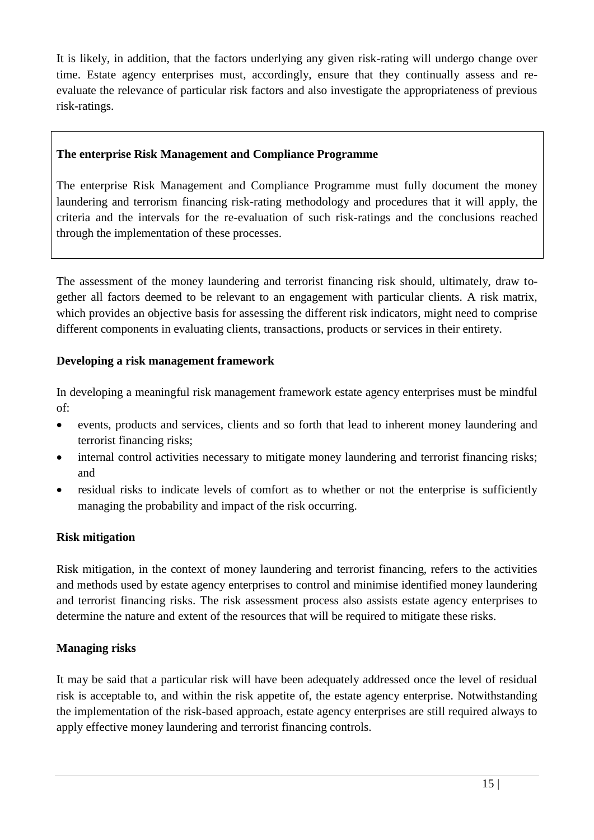It is likely, in addition, that the factors underlying any given risk-rating will undergo change over time. Estate agency enterprises must, accordingly, ensure that they continually assess and reevaluate the relevance of particular risk factors and also investigate the appropriateness of previous risk-ratings.

### **The enterprise Risk Management and Compliance Programme**

The enterprise Risk Management and Compliance Programme must fully document the money laundering and terrorism financing risk-rating methodology and procedures that it will apply, the criteria and the intervals for the re-evaluation of such risk-ratings and the conclusions reached through the implementation of these processes.

The assessment of the money laundering and terrorist financing risk should, ultimately, draw together all factors deemed to be relevant to an engagement with particular clients. A risk matrix, which provides an objective basis for assessing the different risk indicators, might need to comprise different components in evaluating clients, transactions, products or services in their entirety.

### **Developing a risk management framework**

In developing a meaningful risk management framework estate agency enterprises must be mindful of:

- events, products and services, clients and so forth that lead to inherent money laundering and terrorist financing risks;
- internal control activities necessary to mitigate money laundering and terrorist financing risks; and
- residual risks to indicate levels of comfort as to whether or not the enterprise is sufficiently managing the probability and impact of the risk occurring.

#### **Risk mitigation**

Risk mitigation, in the context of money laundering and terrorist financing, refers to the activities and methods used by estate agency enterprises to control and minimise identified money laundering and terrorist financing risks. The risk assessment process also assists estate agency enterprises to determine the nature and extent of the resources that will be required to mitigate these risks.

#### **Managing risks**

It may be said that a particular risk will have been adequately addressed once the level of residual risk is acceptable to, and within the risk appetite of, the estate agency enterprise. Notwithstanding the implementation of the risk-based approach, estate agency enterprises are still required always to apply effective money laundering and terrorist financing controls.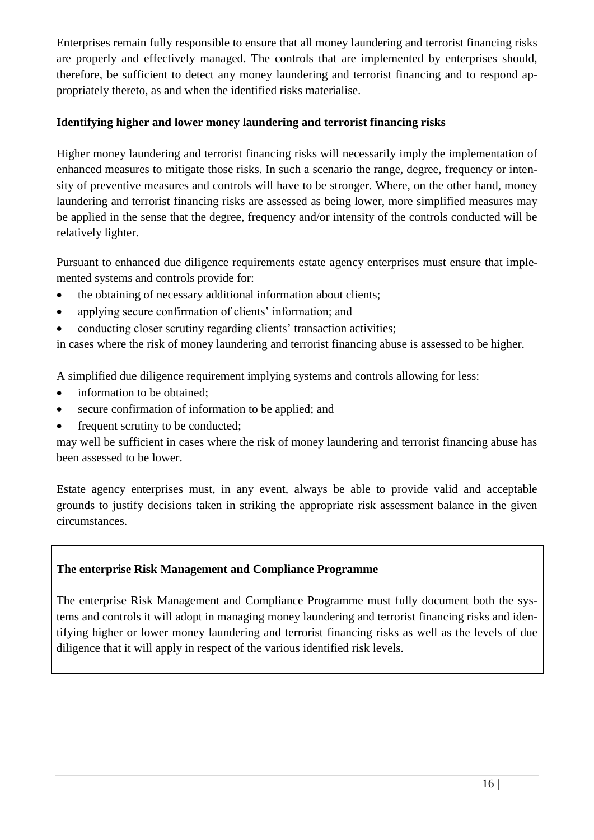Enterprises remain fully responsible to ensure that all money laundering and terrorist financing risks are properly and effectively managed. The controls that are implemented by enterprises should, therefore, be sufficient to detect any money laundering and terrorist financing and to respond appropriately thereto, as and when the identified risks materialise.

# **Identifying higher and lower money laundering and terrorist financing risks**

Higher money laundering and terrorist financing risks will necessarily imply the implementation of enhanced measures to mitigate those risks. In such a scenario the range, degree, frequency or intensity of preventive measures and controls will have to be stronger. Where, on the other hand, money laundering and terrorist financing risks are assessed as being lower, more simplified measures may be applied in the sense that the degree, frequency and/or intensity of the controls conducted will be relatively lighter.

Pursuant to enhanced due diligence requirements estate agency enterprises must ensure that implemented systems and controls provide for:

- the obtaining of necessary additional information about clients;
- applying secure confirmation of clients' information; and
- conducting closer scrutiny regarding clients' transaction activities;

in cases where the risk of money laundering and terrorist financing abuse is assessed to be higher.

A simplified due diligence requirement implying systems and controls allowing for less:

- information to be obtained;
- secure confirmation of information to be applied; and
- frequent scrutiny to be conducted;

may well be sufficient in cases where the risk of money laundering and terrorist financing abuse has been assessed to be lower.

Estate agency enterprises must, in any event, always be able to provide valid and acceptable grounds to justify decisions taken in striking the appropriate risk assessment balance in the given circumstances.

# **The enterprise Risk Management and Compliance Programme**

The enterprise Risk Management and Compliance Programme must fully document both the systems and controls it will adopt in managing money laundering and terrorist financing risks and identifying higher or lower money laundering and terrorist financing risks as well as the levels of due diligence that it will apply in respect of the various identified risk levels.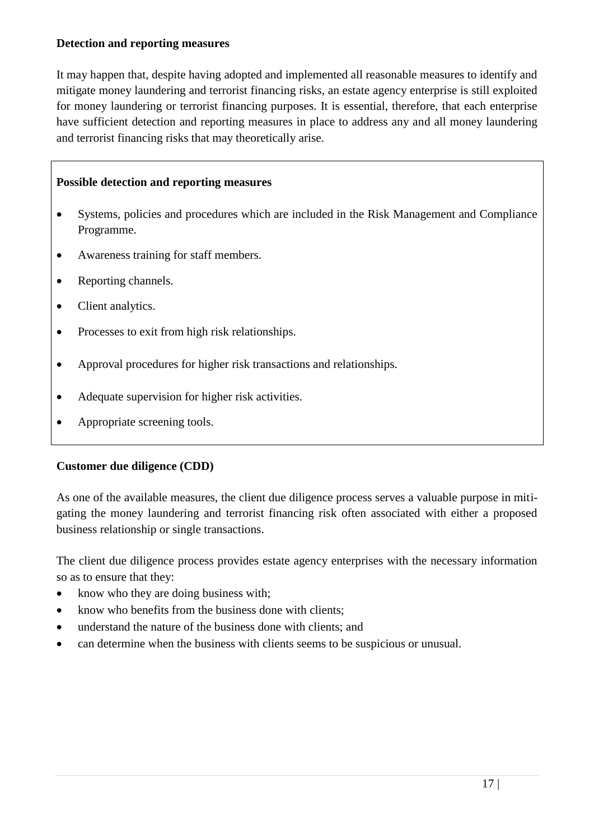#### **Detection and reporting measures**

It may happen that, despite having adopted and implemented all reasonable measures to identify and mitigate money laundering and terrorist financing risks, an estate agency enterprise is still exploited for money laundering or terrorist financing purposes. It is essential, therefore, that each enterprise have sufficient detection and reporting measures in place to address any and all money laundering and terrorist financing risks that may theoretically arise.

#### **Possible detection and reporting measures**

- Systems, policies and procedures which are included in the Risk Management and Compliance Programme.
- Awareness training for staff members.
- Reporting channels.
- Client analytics.
- Processes to exit from high risk relationships.
- Approval procedures for higher risk transactions and relationships.
- Adequate supervision for higher risk activities.
- Appropriate screening tools.

#### **Customer due diligence (CDD)**

As one of the available measures, the client due diligence process serves a valuable purpose in mitigating the money laundering and terrorist financing risk often associated with either a proposed business relationship or single transactions.

The client due diligence process provides estate agency enterprises with the necessary information so as to ensure that they:

- know who they are doing business with;
- know who benefits from the business done with clients;
- understand the nature of the business done with clients; and
- can determine when the business with clients seems to be suspicious or unusual.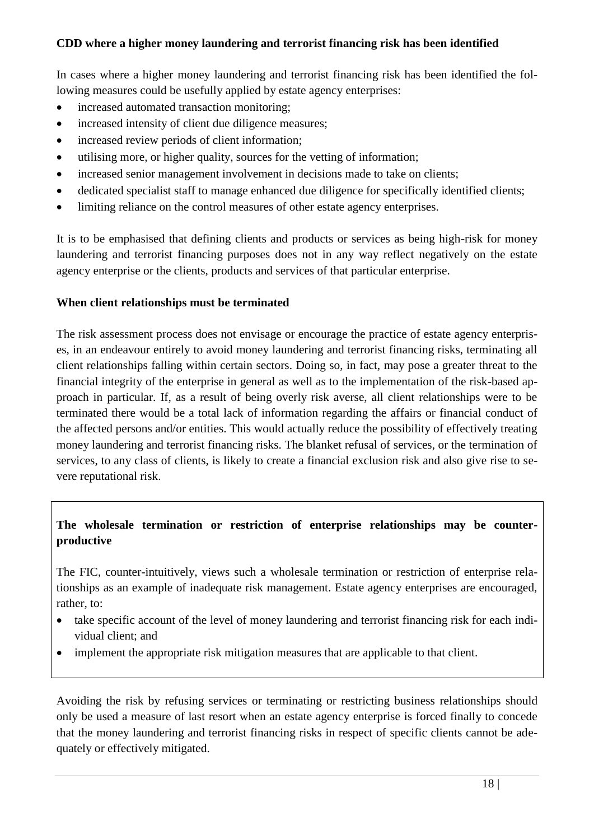#### **CDD where a higher money laundering and terrorist financing risk has been identified**

In cases where a higher money laundering and terrorist financing risk has been identified the following measures could be usefully applied by estate agency enterprises:

- increased automated transaction monitoring:
- increased intensity of client due diligence measures;
- increased review periods of client information;
- utilising more, or higher quality, sources for the vetting of information;
- increased senior management involvement in decisions made to take on clients;
- dedicated specialist staff to manage enhanced due diligence for specifically identified clients;
- limiting reliance on the control measures of other estate agency enterprises.

It is to be emphasised that defining clients and products or services as being high-risk for money laundering and terrorist financing purposes does not in any way reflect negatively on the estate agency enterprise or the clients, products and services of that particular enterprise.

#### **When client relationships must be terminated**

The risk assessment process does not envisage or encourage the practice of estate agency enterprises, in an endeavour entirely to avoid money laundering and terrorist financing risks, terminating all client relationships falling within certain sectors. Doing so, in fact, may pose a greater threat to the financial integrity of the enterprise in general as well as to the implementation of the risk-based approach in particular. If, as a result of being overly risk averse, all client relationships were to be terminated there would be a total lack of information regarding the affairs or financial conduct of the affected persons and/or entities. This would actually reduce the possibility of effectively treating money laundering and terrorist financing risks. The blanket refusal of services, or the termination of services, to any class of clients, is likely to create a financial exclusion risk and also give rise to severe reputational risk.

### **The wholesale termination or restriction of enterprise relationships may be counterproductive**

The FIC, counter-intuitively, views such a wholesale termination or restriction of enterprise relationships as an example of inadequate risk management. Estate agency enterprises are encouraged, rather, to:

- take specific account of the level of money laundering and terrorist financing risk for each individual client; and
- implement the appropriate risk mitigation measures that are applicable to that client.

Avoiding the risk by refusing services or terminating or restricting business relationships should only be used a measure of last resort when an estate agency enterprise is forced finally to concede that the money laundering and terrorist financing risks in respect of specific clients cannot be adequately or effectively mitigated.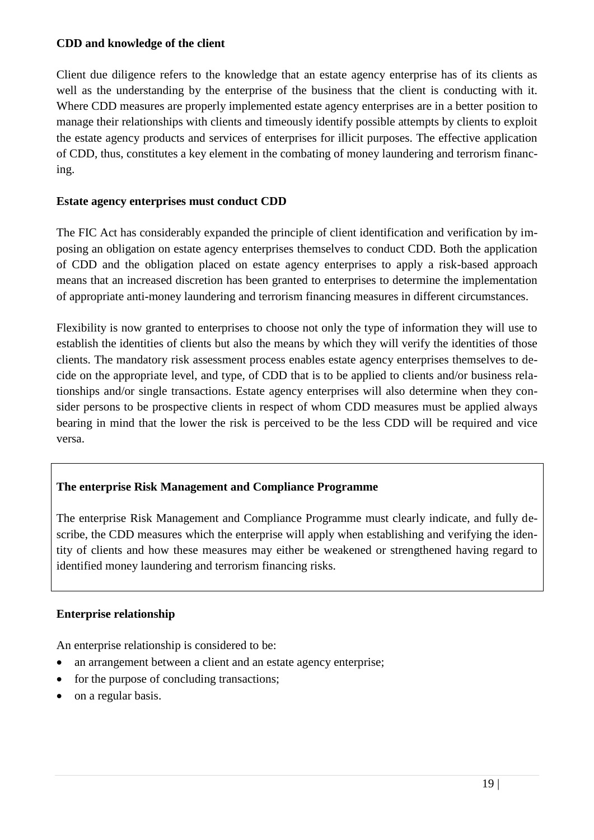#### **CDD and knowledge of the client**

Client due diligence refers to the knowledge that an estate agency enterprise has of its clients as well as the understanding by the enterprise of the business that the client is conducting with it. Where CDD measures are properly implemented estate agency enterprises are in a better position to manage their relationships with clients and timeously identify possible attempts by clients to exploit the estate agency products and services of enterprises for illicit purposes. The effective application of CDD, thus, constitutes a key element in the combating of money laundering and terrorism financing.

#### **Estate agency enterprises must conduct CDD**

The FIC Act has considerably expanded the principle of client identification and verification by imposing an obligation on estate agency enterprises themselves to conduct CDD. Both the application of CDD and the obligation placed on estate agency enterprises to apply a risk-based approach means that an increased discretion has been granted to enterprises to determine the implementation of appropriate anti-money laundering and terrorism financing measures in different circumstances.

Flexibility is now granted to enterprises to choose not only the type of information they will use to establish the identities of clients but also the means by which they will verify the identities of those clients. The mandatory risk assessment process enables estate agency enterprises themselves to decide on the appropriate level, and type, of CDD that is to be applied to clients and/or business relationships and/or single transactions. Estate agency enterprises will also determine when they consider persons to be prospective clients in respect of whom CDD measures must be applied always bearing in mind that the lower the risk is perceived to be the less CDD will be required and vice versa.

#### **The enterprise Risk Management and Compliance Programme**

The enterprise Risk Management and Compliance Programme must clearly indicate, and fully describe, the CDD measures which the enterprise will apply when establishing and verifying the identity of clients and how these measures may either be weakened or strengthened having regard to identified money laundering and terrorism financing risks.

#### **Enterprise relationship**

An enterprise relationship is considered to be:

- an arrangement between a client and an estate agency enterprise;
- for the purpose of concluding transactions;
- on a regular basis.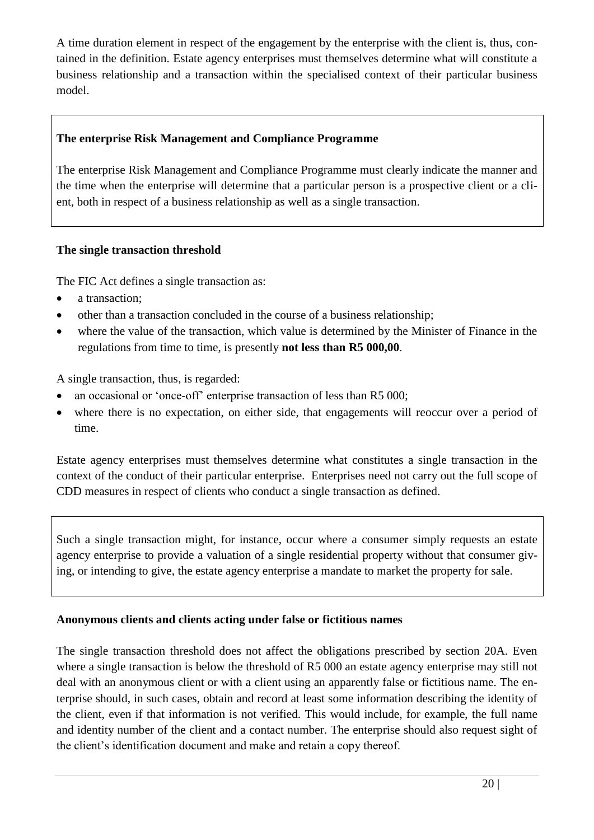A time duration element in respect of the engagement by the enterprise with the client is, thus, contained in the definition. Estate agency enterprises must themselves determine what will constitute a business relationship and a transaction within the specialised context of their particular business model.

### **The enterprise Risk Management and Compliance Programme**

The enterprise Risk Management and Compliance Programme must clearly indicate the manner and the time when the enterprise will determine that a particular person is a prospective client or a client, both in respect of a business relationship as well as a single transaction.

### **The single transaction threshold**

The FIC Act defines a single transaction as:

- a transaction;
- other than a transaction concluded in the course of a business relationship;
- where the value of the transaction, which value is determined by the Minister of Finance in the regulations from time to time, is presently **not less than R5 000,00**.

A single transaction, thus, is regarded:

- an occasional or 'once-off' enterprise transaction of less than R5 000;
- where there is no expectation, on either side, that engagements will reoccur over a period of time.

Estate agency enterprises must themselves determine what constitutes a single transaction in the context of the conduct of their particular enterprise. Enterprises need not carry out the full scope of CDD measures in respect of clients who conduct a single transaction as defined.

Such a single transaction might, for instance, occur where a consumer simply requests an estate agency enterprise to provide a valuation of a single residential property without that consumer giving, or intending to give, the estate agency enterprise a mandate to market the property for sale.

#### **Anonymous clients and clients acting under false or fictitious names**

The single transaction threshold does not affect the obligations prescribed by section 20A. Even where a single transaction is below the threshold of R5 000 an estate agency enterprise may still not deal with an anonymous client or with a client using an apparently false or fictitious name. The enterprise should, in such cases, obtain and record at least some information describing the identity of the client, even if that information is not verified. This would include, for example, the full name and identity number of the client and a contact number. The enterprise should also request sight of the client's identification document and make and retain a copy thereof.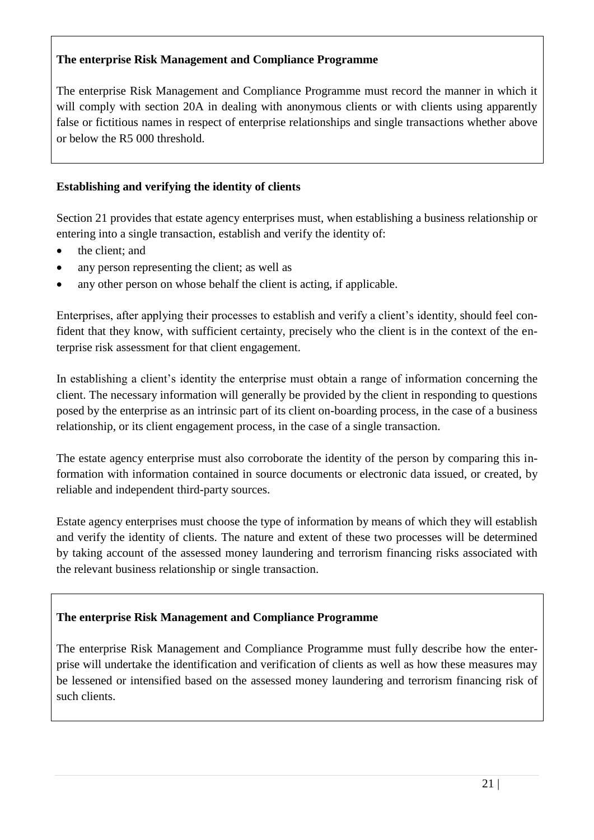# **The enterprise Risk Management and Compliance Programme**

The enterprise Risk Management and Compliance Programme must record the manner in which it will comply with section 20A in dealing with anonymous clients or with clients using apparently false or fictitious names in respect of enterprise relationships and single transactions whether above or below the R5 000 threshold.

### **Establishing and verifying the identity of clients**

Section 21 provides that estate agency enterprises must, when establishing a business relationship or entering into a single transaction, establish and verify the identity of:

- the client: and
- any person representing the client; as well as
- any other person on whose behalf the client is acting, if applicable.

Enterprises, after applying their processes to establish and verify a client's identity, should feel confident that they know, with sufficient certainty, precisely who the client is in the context of the enterprise risk assessment for that client engagement.

In establishing a client's identity the enterprise must obtain a range of information concerning the client. The necessary information will generally be provided by the client in responding to questions posed by the enterprise as an intrinsic part of its client on-boarding process, in the case of a business relationship, or its client engagement process, in the case of a single transaction.

The estate agency enterprise must also corroborate the identity of the person by comparing this information with information contained in source documents or electronic data issued, or created, by reliable and independent third-party sources.

Estate agency enterprises must choose the type of information by means of which they will establish and verify the identity of clients. The nature and extent of these two processes will be determined by taking account of the assessed money laundering and terrorism financing risks associated with the relevant business relationship or single transaction.

# **The enterprise Risk Management and Compliance Programme**

The enterprise Risk Management and Compliance Programme must fully describe how the enterprise will undertake the identification and verification of clients as well as how these measures may be lessened or intensified based on the assessed money laundering and terrorism financing risk of such clients.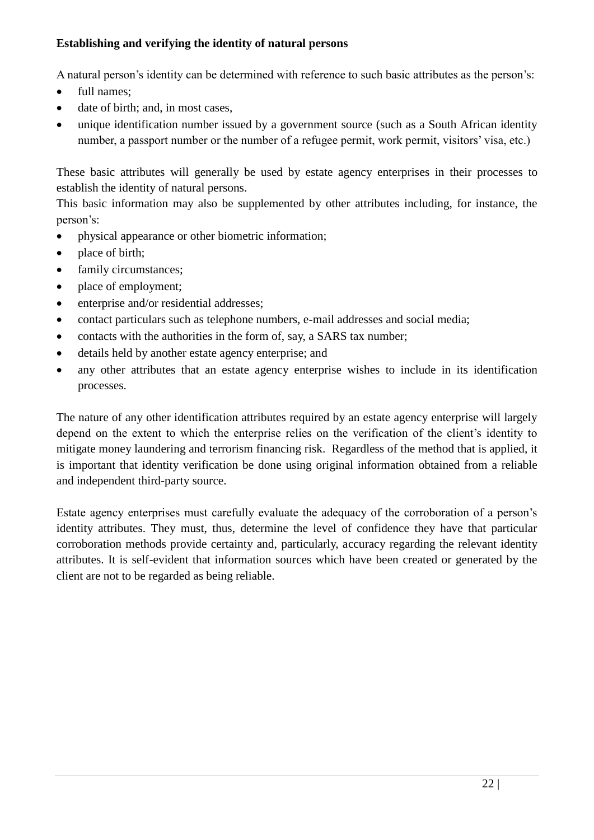### **Establishing and verifying the identity of natural persons**

A natural person's identity can be determined with reference to such basic attributes as the person's:

- full names:
- date of birth; and, in most cases,
- unique identification number issued by a government source (such as a South African identity number, a passport number or the number of a refugee permit, work permit, visitors' visa, etc.)

These basic attributes will generally be used by estate agency enterprises in their processes to establish the identity of natural persons.

This basic information may also be supplemented by other attributes including, for instance, the person's:

- physical appearance or other biometric information;
- place of birth;
- family circumstances;
- place of employment;
- enterprise and/or residential addresses;
- contact particulars such as telephone numbers, e-mail addresses and social media;
- contacts with the authorities in the form of, say, a SARS tax number;
- details held by another estate agency enterprise; and
- any other attributes that an estate agency enterprise wishes to include in its identification processes.

The nature of any other identification attributes required by an estate agency enterprise will largely depend on the extent to which the enterprise relies on the verification of the client's identity to mitigate money laundering and terrorism financing risk. Regardless of the method that is applied, it is important that identity verification be done using original information obtained from a reliable and independent third-party source.

Estate agency enterprises must carefully evaluate the adequacy of the corroboration of a person's identity attributes. They must, thus, determine the level of confidence they have that particular corroboration methods provide certainty and, particularly, accuracy regarding the relevant identity attributes. It is self-evident that information sources which have been created or generated by the client are not to be regarded as being reliable.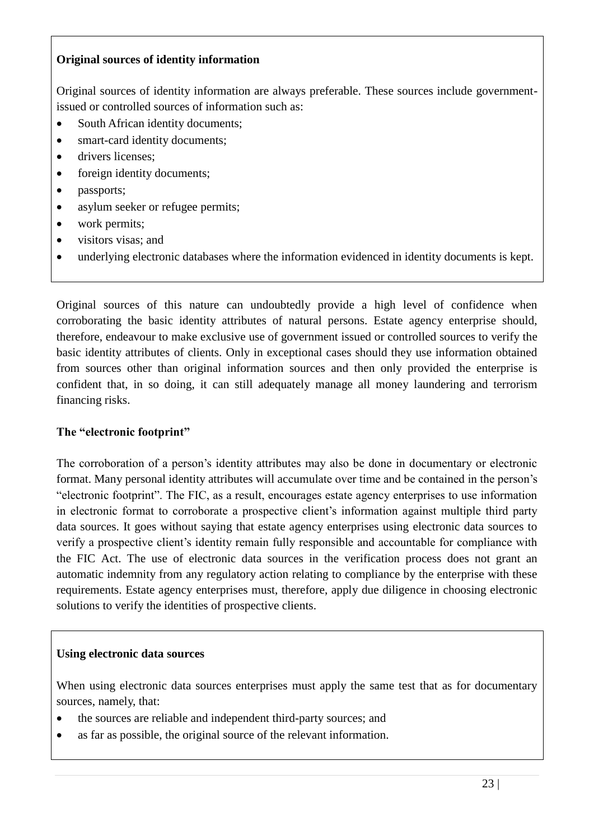### **Original sources of identity information**

Original sources of identity information are always preferable. These sources include governmentissued or controlled sources of information such as:

- South African identity documents:
- smart-card identity documents;
- drivers licenses;
- foreign identity documents;
- passports;
- asylum seeker or refugee permits;
- work permits;
- visitors visas; and
- underlying electronic databases where the information evidenced in identity documents is kept.

Original sources of this nature can undoubtedly provide a high level of confidence when corroborating the basic identity attributes of natural persons. Estate agency enterprise should, therefore, endeavour to make exclusive use of government issued or controlled sources to verify the basic identity attributes of clients. Only in exceptional cases should they use information obtained from sources other than original information sources and then only provided the enterprise is confident that, in so doing, it can still adequately manage all money laundering and terrorism financing risks.

#### **The "electronic footprint"**

The corroboration of a person's identity attributes may also be done in documentary or electronic format. Many personal identity attributes will accumulate over time and be contained in the person's "electronic footprint". The FIC, as a result, encourages estate agency enterprises to use information in electronic format to corroborate a prospective client's information against multiple third party data sources. It goes without saying that estate agency enterprises using electronic data sources to verify a prospective client's identity remain fully responsible and accountable for compliance with the FIC Act. The use of electronic data sources in the verification process does not grant an automatic indemnity from any regulatory action relating to compliance by the enterprise with these requirements. Estate agency enterprises must, therefore, apply due diligence in choosing electronic solutions to verify the identities of prospective clients.

#### **Using electronic data sources**

When using electronic data sources enterprises must apply the same test that as for documentary sources, namely, that:

- the sources are reliable and independent third-party sources; and
- as far as possible, the original source of the relevant information.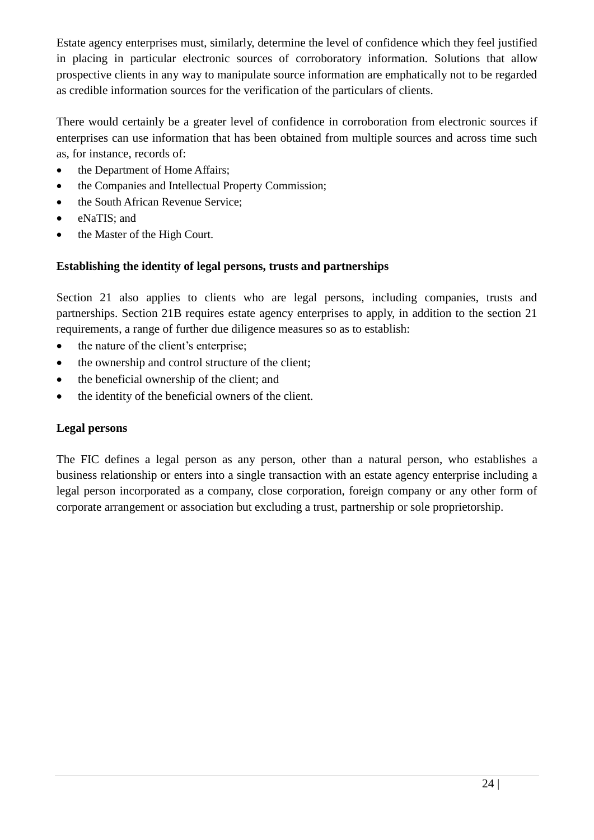Estate agency enterprises must, similarly, determine the level of confidence which they feel justified in placing in particular electronic sources of corroboratory information. Solutions that allow prospective clients in any way to manipulate source information are emphatically not to be regarded as credible information sources for the verification of the particulars of clients.

There would certainly be a greater level of confidence in corroboration from electronic sources if enterprises can use information that has been obtained from multiple sources and across time such as, for instance, records of:

- the Department of Home Affairs:
- the Companies and Intellectual Property Commission;
- the South African Revenue Service;
- eNaTIS; and
- the Master of the High Court.

# **Establishing the identity of legal persons, trusts and partnerships**

Section 21 also applies to clients who are legal persons, including companies, trusts and partnerships. Section 21B requires estate agency enterprises to apply, in addition to the section 21 requirements, a range of further due diligence measures so as to establish:

- the nature of the client's enterprise;
- the ownership and control structure of the client;
- the beneficial ownership of the client; and
- the identity of the beneficial owners of the client.

# **Legal persons**

The FIC defines a legal person as any person, other than a natural person, who establishes a business relationship or enters into a single transaction with an estate agency enterprise including a legal person incorporated as a company, close corporation, foreign company or any other form of corporate arrangement or association but excluding a trust, partnership or sole proprietorship.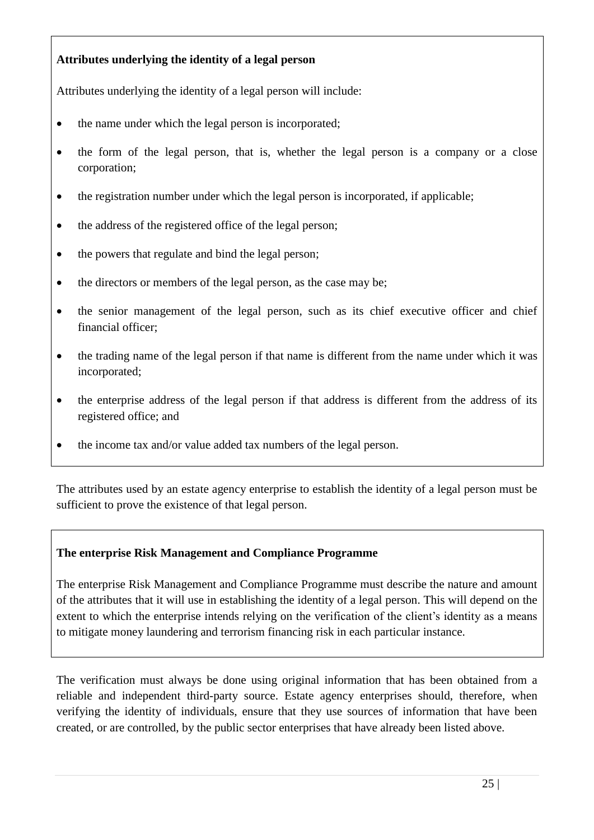# **Attributes underlying the identity of a legal person**

Attributes underlying the identity of a legal person will include:

- the name under which the legal person is incorporated;
- the form of the legal person, that is, whether the legal person is a company or a close corporation;
- the registration number under which the legal person is incorporated, if applicable;
- the address of the registered office of the legal person:
- the powers that regulate and bind the legal person;
- the directors or members of the legal person, as the case may be;
- the senior management of the legal person, such as its chief executive officer and chief financial officer;
- the trading name of the legal person if that name is different from the name under which it was incorporated;
- the enterprise address of the legal person if that address is different from the address of its registered office; and
- the income tax and/or value added tax numbers of the legal person.

The attributes used by an estate agency enterprise to establish the identity of a legal person must be sufficient to prove the existence of that legal person.

# **The enterprise Risk Management and Compliance Programme**

The enterprise Risk Management and Compliance Programme must describe the nature and amount of the attributes that it will use in establishing the identity of a legal person. This will depend on the extent to which the enterprise intends relying on the verification of the client's identity as a means to mitigate money laundering and terrorism financing risk in each particular instance.

The verification must always be done using original information that has been obtained from a reliable and independent third-party source. Estate agency enterprises should, therefore, when verifying the identity of individuals, ensure that they use sources of information that have been created, or are controlled, by the public sector enterprises that have already been listed above.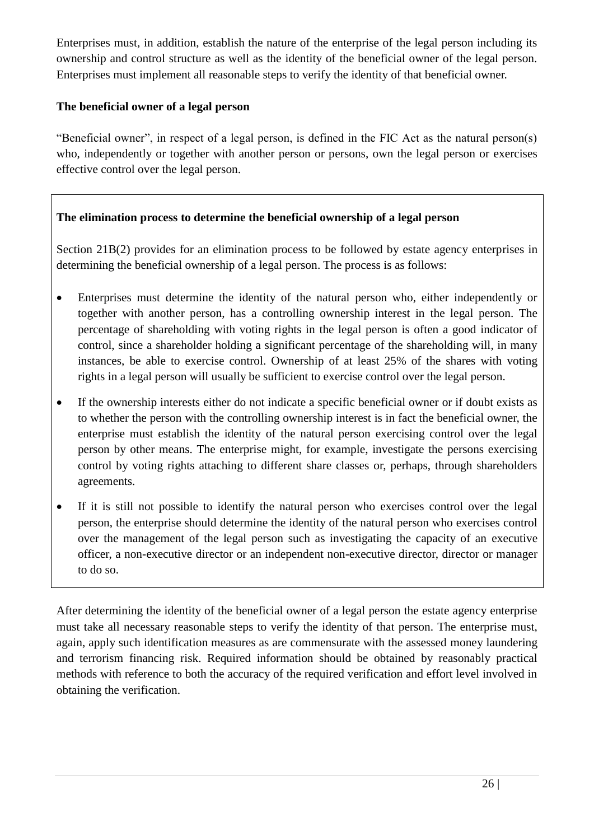Enterprises must, in addition, establish the nature of the enterprise of the legal person including its ownership and control structure as well as the identity of the beneficial owner of the legal person. Enterprises must implement all reasonable steps to verify the identity of that beneficial owner.

### **The beneficial owner of a legal person**

"Beneficial owner", in respect of a legal person, is defined in the FIC Act as the natural person(s) who, independently or together with another person or persons, own the legal person or exercises effective control over the legal person.

# **The elimination process to determine the beneficial ownership of a legal person**

Section 21B(2) provides for an elimination process to be followed by estate agency enterprises in determining the beneficial ownership of a legal person. The process is as follows:

- Enterprises must determine the identity of the natural person who, either independently or together with another person, has a controlling ownership interest in the legal person. The percentage of shareholding with voting rights in the legal person is often a good indicator of control, since a shareholder holding a significant percentage of the shareholding will, in many instances, be able to exercise control. Ownership of at least 25% of the shares with voting rights in a legal person will usually be sufficient to exercise control over the legal person.
- If the ownership interests either do not indicate a specific beneficial owner or if doubt exists as to whether the person with the controlling ownership interest is in fact the beneficial owner, the enterprise must establish the identity of the natural person exercising control over the legal person by other means. The enterprise might, for example, investigate the persons exercising control by voting rights attaching to different share classes or, perhaps, through shareholders agreements.
- If it is still not possible to identify the natural person who exercises control over the legal person, the enterprise should determine the identity of the natural person who exercises control over the management of the legal person such as investigating the capacity of an executive officer, a non-executive director or an independent non-executive director, director or manager to do so.

After determining the identity of the beneficial owner of a legal person the estate agency enterprise must take all necessary reasonable steps to verify the identity of that person. The enterprise must, again, apply such identification measures as are commensurate with the assessed money laundering and terrorism financing risk. Required information should be obtained by reasonably practical methods with reference to both the accuracy of the required verification and effort level involved in obtaining the verification.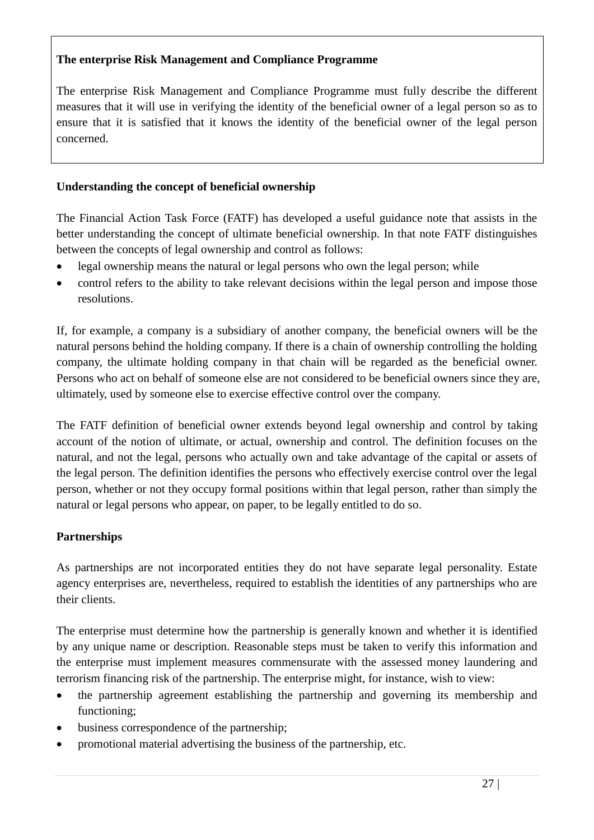# **The enterprise Risk Management and Compliance Programme**

The enterprise Risk Management and Compliance Programme must fully describe the different measures that it will use in verifying the identity of the beneficial owner of a legal person so as to ensure that it is satisfied that it knows the identity of the beneficial owner of the legal person concerned.

### **Understanding the concept of beneficial ownership**

The Financial Action Task Force (FATF) has developed a useful guidance note that assists in the better understanding the concept of ultimate beneficial ownership. In that note FATF distinguishes between the concepts of legal ownership and control as follows:

- legal ownership means the natural or legal persons who own the legal person; while
- control refers to the ability to take relevant decisions within the legal person and impose those resolutions.

If, for example, a company is a subsidiary of another company, the beneficial owners will be the natural persons behind the holding company. If there is a chain of ownership controlling the holding company, the ultimate holding company in that chain will be regarded as the beneficial owner. Persons who act on behalf of someone else are not considered to be beneficial owners since they are, ultimately, used by someone else to exercise effective control over the company.

The FATF definition of beneficial owner extends beyond legal ownership and control by taking account of the notion of ultimate, or actual, ownership and control. The definition focuses on the natural, and not the legal, persons who actually own and take advantage of the capital or assets of the legal person. The definition identifies the persons who effectively exercise control over the legal person, whether or not they occupy formal positions within that legal person, rather than simply the natural or legal persons who appear, on paper, to be legally entitled to do so.

# **Partnerships**

As partnerships are not incorporated entities they do not have separate legal personality. Estate agency enterprises are, nevertheless, required to establish the identities of any partnerships who are their clients.

The enterprise must determine how the partnership is generally known and whether it is identified by any unique name or description. Reasonable steps must be taken to verify this information and the enterprise must implement measures commensurate with the assessed money laundering and terrorism financing risk of the partnership. The enterprise might, for instance, wish to view:

- the partnership agreement establishing the partnership and governing its membership and functioning;
- business correspondence of the partnership;
- promotional material advertising the business of the partnership, etc.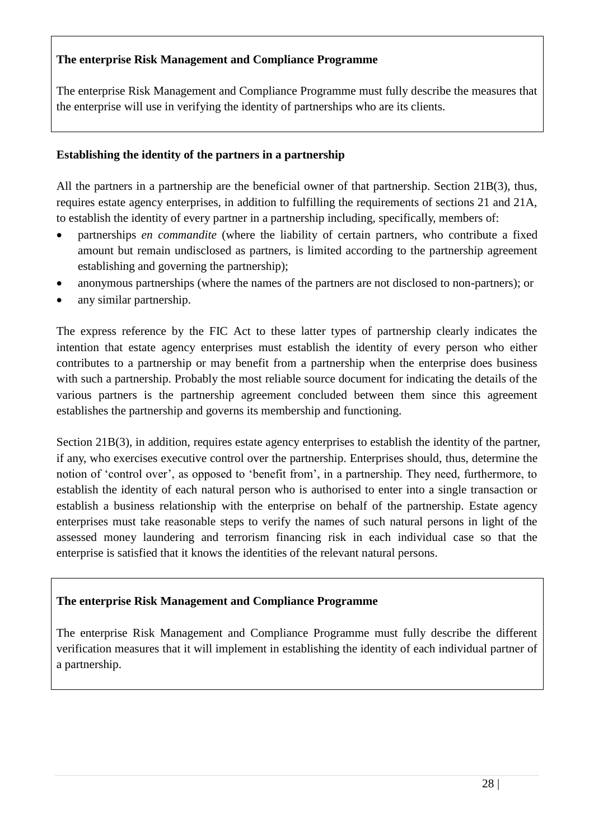### **The enterprise Risk Management and Compliance Programme**

The enterprise Risk Management and Compliance Programme must fully describe the measures that the enterprise will use in verifying the identity of partnerships who are its clients.

#### **Establishing the identity of the partners in a partnership**

All the partners in a partnership are the beneficial owner of that partnership. Section 21B(3), thus, requires estate agency enterprises, in addition to fulfilling the requirements of sections 21 and 21A, to establish the identity of every partner in a partnership including, specifically, members of:

- partnerships *en commandite* (where the liability of certain partners, who contribute a fixed amount but remain undisclosed as partners, is limited according to the partnership agreement establishing and governing the partnership);
- anonymous partnerships (where the names of the partners are not disclosed to non-partners); or
- any similar partnership.

The express reference by the FIC Act to these latter types of partnership clearly indicates the intention that estate agency enterprises must establish the identity of every person who either contributes to a partnership or may benefit from a partnership when the enterprise does business with such a partnership. Probably the most reliable source document for indicating the details of the various partners is the partnership agreement concluded between them since this agreement establishes the partnership and governs its membership and functioning.

Section 21B(3), in addition, requires estate agency enterprises to establish the identity of the partner, if any, who exercises executive control over the partnership. Enterprises should, thus, determine the notion of 'control over', as opposed to 'benefit from', in a partnership. They need, furthermore, to establish the identity of each natural person who is authorised to enter into a single transaction or establish a business relationship with the enterprise on behalf of the partnership. Estate agency enterprises must take reasonable steps to verify the names of such natural persons in light of the assessed money laundering and terrorism financing risk in each individual case so that the enterprise is satisfied that it knows the identities of the relevant natural persons.

# **The enterprise Risk Management and Compliance Programme**

The enterprise Risk Management and Compliance Programme must fully describe the different verification measures that it will implement in establishing the identity of each individual partner of a partnership.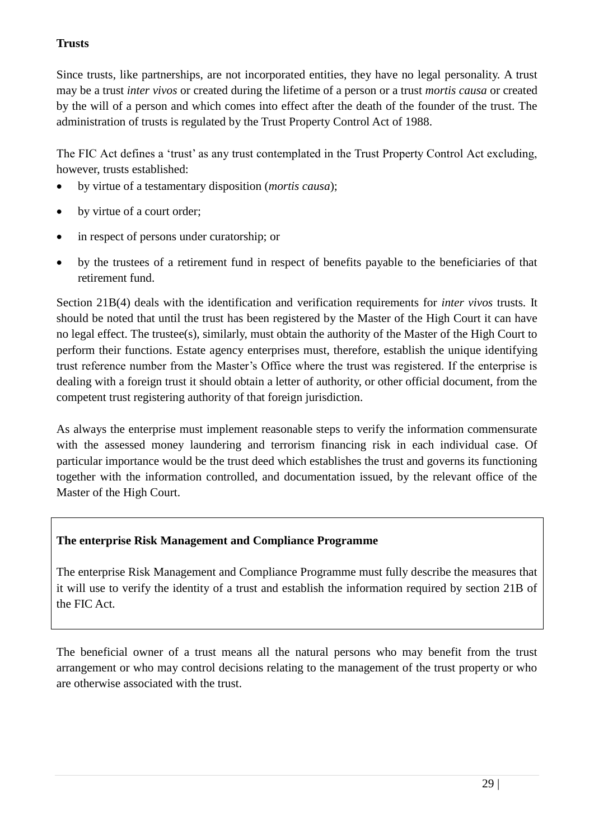# **Trusts**

Since trusts, like partnerships, are not incorporated entities, they have no legal personality. A trust may be a trust *inter vivos* or created during the lifetime of a person or a trust *mortis causa* or created by the will of a person and which comes into effect after the death of the founder of the trust. The administration of trusts is regulated by the Trust Property Control Act of 1988.

The FIC Act defines a 'trust' as any trust contemplated in the Trust Property Control Act excluding, however, trusts established:

- by virtue of a testamentary disposition (*mortis causa*);
- by virtue of a court order;
- in respect of persons under curatorship; or
- by the trustees of a retirement fund in respect of benefits payable to the beneficiaries of that retirement fund.

Section 21B(4) deals with the identification and verification requirements for *inter vivos* trusts*.* It should be noted that until the trust has been registered by the Master of the High Court it can have no legal effect. The trustee(s), similarly, must obtain the authority of the Master of the High Court to perform their functions. Estate agency enterprises must, therefore, establish the unique identifying trust reference number from the Master's Office where the trust was registered. If the enterprise is dealing with a foreign trust it should obtain a letter of authority, or other official document, from the competent trust registering authority of that foreign jurisdiction.

As always the enterprise must implement reasonable steps to verify the information commensurate with the assessed money laundering and terrorism financing risk in each individual case. Of particular importance would be the trust deed which establishes the trust and governs its functioning together with the information controlled, and documentation issued, by the relevant office of the Master of the High Court.

# **The enterprise Risk Management and Compliance Programme**

The enterprise Risk Management and Compliance Programme must fully describe the measures that it will use to verify the identity of a trust and establish the information required by section 21B of the FIC Act.

The beneficial owner of a trust means all the natural persons who may benefit from the trust arrangement or who may control decisions relating to the management of the trust property or who are otherwise associated with the trust.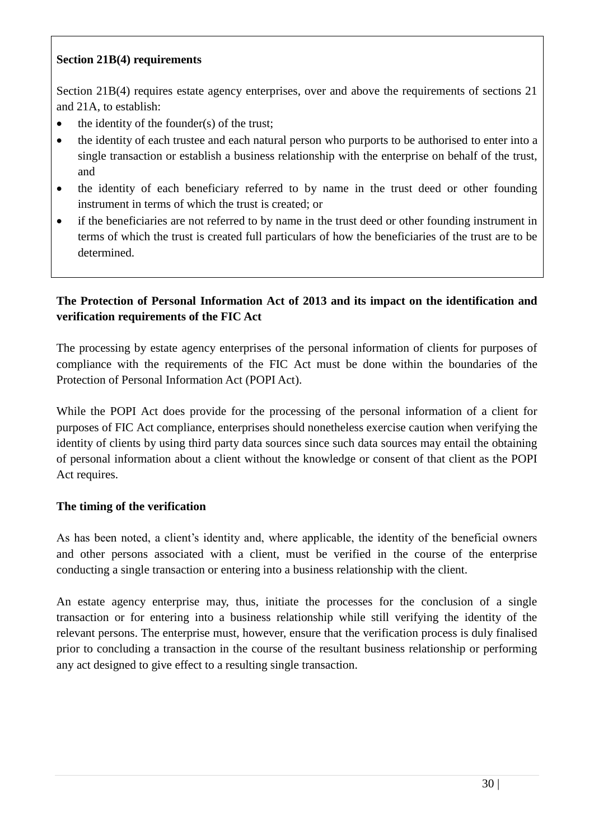### **Section 21B(4) requirements**

Section 21B(4) requires estate agency enterprises, over and above the requirements of sections 21 and 21A, to establish:

- the identity of the founder(s) of the trust;
- the identity of each trustee and each natural person who purports to be authorised to enter into a single transaction or establish a business relationship with the enterprise on behalf of the trust, and
- the identity of each beneficiary referred to by name in the trust deed or other founding instrument in terms of which the trust is created; or
- if the beneficiaries are not referred to by name in the trust deed or other founding instrument in terms of which the trust is created full particulars of how the beneficiaries of the trust are to be determined.

# **The Protection of Personal Information Act of 2013 and its impact on the identification and verification requirements of the FIC Act**

The processing by estate agency enterprises of the personal information of clients for purposes of compliance with the requirements of the FIC Act must be done within the boundaries of the Protection of Personal Information Act (POPI Act).

While the POPI Act does provide for the processing of the personal information of a client for purposes of FIC Act compliance, enterprises should nonetheless exercise caution when verifying the identity of clients by using third party data sources since such data sources may entail the obtaining of personal information about a client without the knowledge or consent of that client as the POPI Act requires.

# **The timing of the verification**

As has been noted, a client's identity and, where applicable, the identity of the beneficial owners and other persons associated with a client, must be verified in the course of the enterprise conducting a single transaction or entering into a business relationship with the client.

An estate agency enterprise may, thus, initiate the processes for the conclusion of a single transaction or for entering into a business relationship while still verifying the identity of the relevant persons. The enterprise must, however, ensure that the verification process is duly finalised prior to concluding a transaction in the course of the resultant business relationship or performing any act designed to give effect to a resulting single transaction.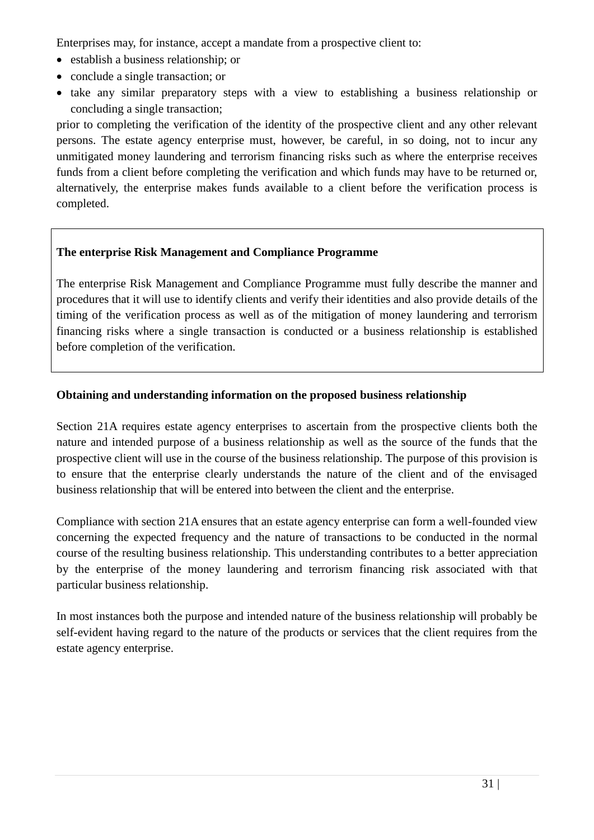Enterprises may, for instance, accept a mandate from a prospective client to:

- establish a business relationship; or
- conclude a single transaction; or
- take any similar preparatory steps with a view to establishing a business relationship or concluding a single transaction;

prior to completing the verification of the identity of the prospective client and any other relevant persons. The estate agency enterprise must, however, be careful, in so doing, not to incur any unmitigated money laundering and terrorism financing risks such as where the enterprise receives funds from a client before completing the verification and which funds may have to be returned or, alternatively, the enterprise makes funds available to a client before the verification process is completed.

# **The enterprise Risk Management and Compliance Programme**

The enterprise Risk Management and Compliance Programme must fully describe the manner and procedures that it will use to identify clients and verify their identities and also provide details of the timing of the verification process as well as of the mitigation of money laundering and terrorism financing risks where a single transaction is conducted or a business relationship is established before completion of the verification.

# **Obtaining and understanding information on the proposed business relationship**

Section 21A requires estate agency enterprises to ascertain from the prospective clients both the nature and intended purpose of a business relationship as well as the source of the funds that the prospective client will use in the course of the business relationship. The purpose of this provision is to ensure that the enterprise clearly understands the nature of the client and of the envisaged business relationship that will be entered into between the client and the enterprise.

Compliance with section 21A ensures that an estate agency enterprise can form a well-founded view concerning the expected frequency and the nature of transactions to be conducted in the normal course of the resulting business relationship. This understanding contributes to a better appreciation by the enterprise of the money laundering and terrorism financing risk associated with that particular business relationship.

In most instances both the purpose and intended nature of the business relationship will probably be self-evident having regard to the nature of the products or services that the client requires from the estate agency enterprise.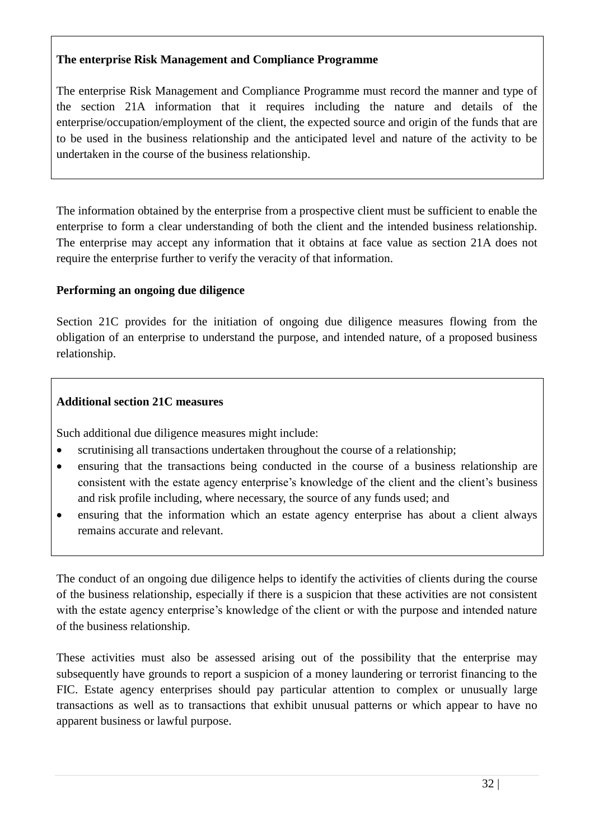### **The enterprise Risk Management and Compliance Programme**

The enterprise Risk Management and Compliance Programme must record the manner and type of the section 21A information that it requires including the nature and details of the enterprise/occupation/employment of the client, the expected source and origin of the funds that are to be used in the business relationship and the anticipated level and nature of the activity to be undertaken in the course of the business relationship.

The information obtained by the enterprise from a prospective client must be sufficient to enable the enterprise to form a clear understanding of both the client and the intended business relationship. The enterprise may accept any information that it obtains at face value as section 21A does not require the enterprise further to verify the veracity of that information.

### **Performing an ongoing due diligence**

Section 21C provides for the initiation of ongoing due diligence measures flowing from the obligation of an enterprise to understand the purpose, and intended nature, of a proposed business relationship.

### **Additional section 21C measures**

Such additional due diligence measures might include:

- scrutinising all transactions undertaken throughout the course of a relationship;
- ensuring that the transactions being conducted in the course of a business relationship are consistent with the estate agency enterprise's knowledge of the client and the client's business and risk profile including, where necessary, the source of any funds used; and
- ensuring that the information which an estate agency enterprise has about a client always remains accurate and relevant.

The conduct of an ongoing due diligence helps to identify the activities of clients during the course of the business relationship, especially if there is a suspicion that these activities are not consistent with the estate agency enterprise's knowledge of the client or with the purpose and intended nature of the business relationship.

These activities must also be assessed arising out of the possibility that the enterprise may subsequently have grounds to report a suspicion of a money laundering or terrorist financing to the FIC. Estate agency enterprises should pay particular attention to complex or unusually large transactions as well as to transactions that exhibit unusual patterns or which appear to have no apparent business or lawful purpose.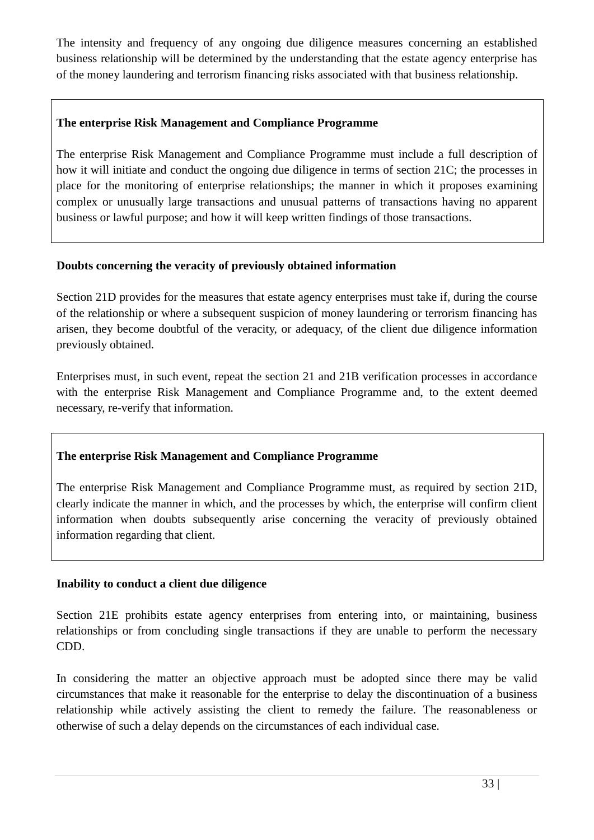The intensity and frequency of any ongoing due diligence measures concerning an established business relationship will be determined by the understanding that the estate agency enterprise has of the money laundering and terrorism financing risks associated with that business relationship.

# **The enterprise Risk Management and Compliance Programme**

The enterprise Risk Management and Compliance Programme must include a full description of how it will initiate and conduct the ongoing due diligence in terms of section 21C; the processes in place for the monitoring of enterprise relationships; the manner in which it proposes examining complex or unusually large transactions and unusual patterns of transactions having no apparent business or lawful purpose; and how it will keep written findings of those transactions.

### **Doubts concerning the veracity of previously obtained information**

Section 21D provides for the measures that estate agency enterprises must take if, during the course of the relationship or where a subsequent suspicion of money laundering or terrorism financing has arisen, they become doubtful of the veracity, or adequacy, of the client due diligence information previously obtained.

Enterprises must, in such event, repeat the section 21 and 21B verification processes in accordance with the enterprise Risk Management and Compliance Programme and, to the extent deemed necessary, re-verify that information.

# **The enterprise Risk Management and Compliance Programme**

The enterprise Risk Management and Compliance Programme must, as required by section 21D, clearly indicate the manner in which, and the processes by which, the enterprise will confirm client information when doubts subsequently arise concerning the veracity of previously obtained information regarding that client.

#### **Inability to conduct a client due diligence**

Section 21E prohibits estate agency enterprises from entering into, or maintaining, business relationships or from concluding single transactions if they are unable to perform the necessary CDD.

In considering the matter an objective approach must be adopted since there may be valid circumstances that make it reasonable for the enterprise to delay the discontinuation of a business relationship while actively assisting the client to remedy the failure. The reasonableness or otherwise of such a delay depends on the circumstances of each individual case.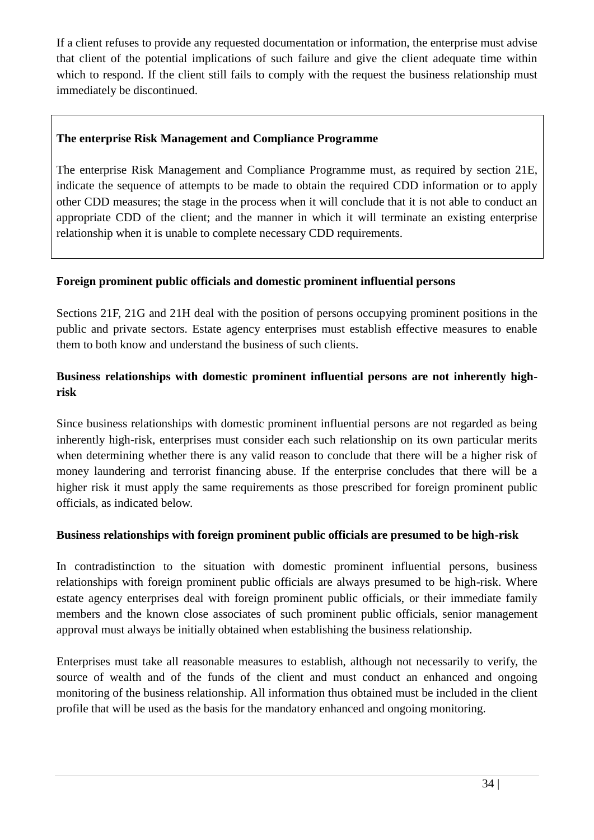If a client refuses to provide any requested documentation or information, the enterprise must advise that client of the potential implications of such failure and give the client adequate time within which to respond. If the client still fails to comply with the request the business relationship must immediately be discontinued.

# **The enterprise Risk Management and Compliance Programme**

The enterprise Risk Management and Compliance Programme must, as required by section 21E, indicate the sequence of attempts to be made to obtain the required CDD information or to apply other CDD measures; the stage in the process when it will conclude that it is not able to conduct an appropriate CDD of the client; and the manner in which it will terminate an existing enterprise relationship when it is unable to complete necessary CDD requirements.

### **Foreign prominent public officials and domestic prominent influential persons**

Sections 21F, 21G and 21H deal with the position of persons occupying prominent positions in the public and private sectors. Estate agency enterprises must establish effective measures to enable them to both know and understand the business of such clients.

# **Business relationships with domestic prominent influential persons are not inherently highrisk**

Since business relationships with domestic prominent influential persons are not regarded as being inherently high-risk, enterprises must consider each such relationship on its own particular merits when determining whether there is any valid reason to conclude that there will be a higher risk of money laundering and terrorist financing abuse. If the enterprise concludes that there will be a higher risk it must apply the same requirements as those prescribed for foreign prominent public officials, as indicated below.

#### **Business relationships with foreign prominent public officials are presumed to be high-risk**

In contradistinction to the situation with domestic prominent influential persons, business relationships with foreign prominent public officials are always presumed to be high-risk. Where estate agency enterprises deal with foreign prominent public officials, or their immediate family members and the known close associates of such prominent public officials, senior management approval must always be initially obtained when establishing the business relationship.

Enterprises must take all reasonable measures to establish, although not necessarily to verify, the source of wealth and of the funds of the client and must conduct an enhanced and ongoing monitoring of the business relationship. All information thus obtained must be included in the client profile that will be used as the basis for the mandatory enhanced and ongoing monitoring.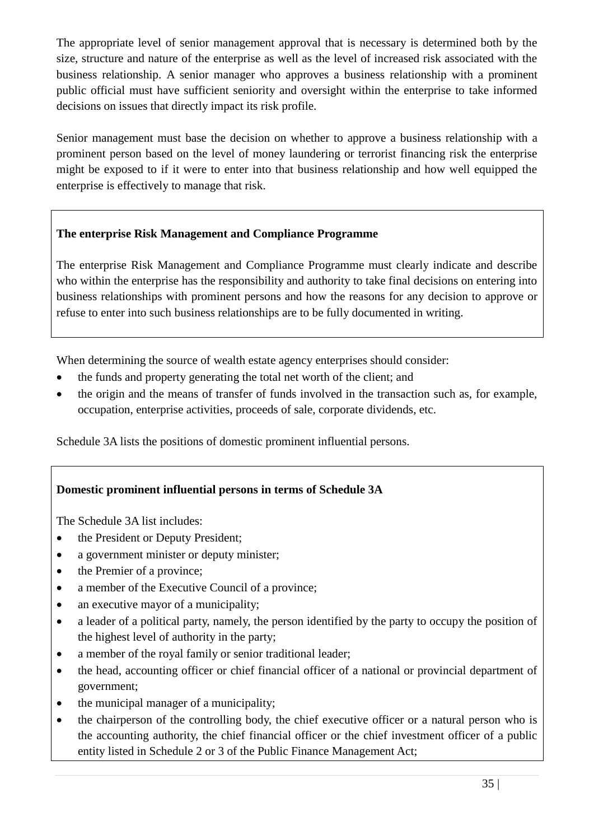The appropriate level of senior management approval that is necessary is determined both by the size, structure and nature of the enterprise as well as the level of increased risk associated with the business relationship. A senior manager who approves a business relationship with a prominent public official must have sufficient seniority and oversight within the enterprise to take informed decisions on issues that directly impact its risk profile.

Senior management must base the decision on whether to approve a business relationship with a prominent person based on the level of money laundering or terrorist financing risk the enterprise might be exposed to if it were to enter into that business relationship and how well equipped the enterprise is effectively to manage that risk.

# **The enterprise Risk Management and Compliance Programme**

The enterprise Risk Management and Compliance Programme must clearly indicate and describe who within the enterprise has the responsibility and authority to take final decisions on entering into business relationships with prominent persons and how the reasons for any decision to approve or refuse to enter into such business relationships are to be fully documented in writing.

When determining the source of wealth estate agency enterprises should consider:

- the funds and property generating the total net worth of the client; and
- the origin and the means of transfer of funds involved in the transaction such as, for example, occupation, enterprise activities, proceeds of sale, corporate dividends, etc.

Schedule 3A lists the positions of domestic prominent influential persons.

# **Domestic prominent influential persons in terms of Schedule 3A**

The Schedule 3A list includes:

- the President or Deputy President;
- a government minister or deputy minister;
- the Premier of a province;
- a member of the Executive Council of a province;
- an executive mayor of a municipality;
- a leader of a political party, namely, the person identified by the party to occupy the position of the highest level of authority in the party;
- a member of the royal family or senior traditional leader;
- the head, accounting officer or chief financial officer of a national or provincial department of government;
- the municipal manager of a municipality;
- the chairperson of the controlling body, the chief executive officer or a natural person who is the accounting authority, the chief financial officer or the chief investment officer of a public entity listed in Schedule 2 or 3 of the Public Finance Management Act;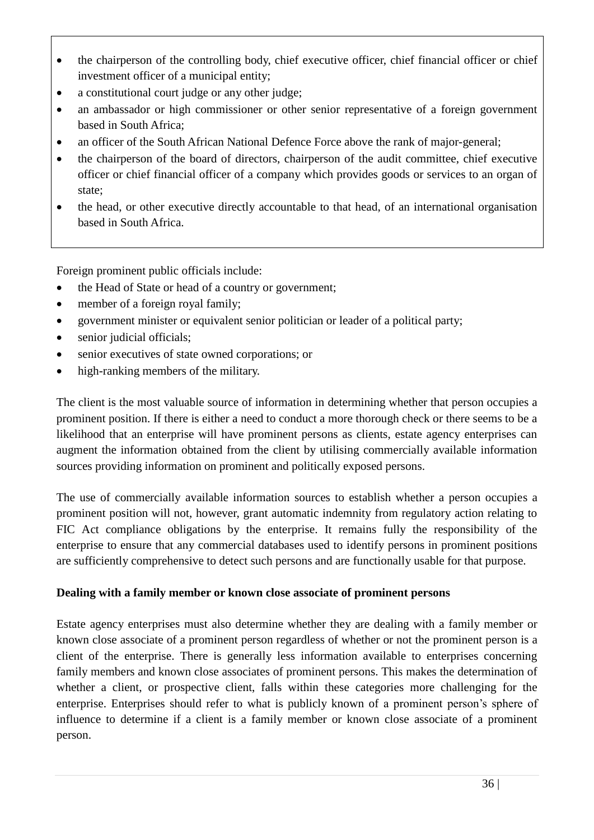- the chairperson of the controlling body, chief executive officer, chief financial officer or chief investment officer of a municipal entity;
- a constitutional court judge or any other judge;
- an ambassador or high commissioner or other senior representative of a foreign government based in South Africa;
- an officer of the South African National Defence Force above the rank of major-general;
- the chairperson of the board of directors, chairperson of the audit committee, chief executive officer or chief financial officer of a company which provides goods or services to an organ of state;
- the head, or other executive directly accountable to that head, of an international organisation based in South Africa.

Foreign prominent public officials include:

- the Head of State or head of a country or government;
- member of a foreign royal family;
- government minister or equivalent senior politician or leader of a political party;
- senior judicial officials;
- senior executives of state owned corporations; or
- high-ranking members of the military.

The client is the most valuable source of information in determining whether that person occupies a prominent position. If there is either a need to conduct a more thorough check or there seems to be a likelihood that an enterprise will have prominent persons as clients, estate agency enterprises can augment the information obtained from the client by utilising commercially available information sources providing information on prominent and politically exposed persons.

The use of commercially available information sources to establish whether a person occupies a prominent position will not, however, grant automatic indemnity from regulatory action relating to FIC Act compliance obligations by the enterprise. It remains fully the responsibility of the enterprise to ensure that any commercial databases used to identify persons in prominent positions are sufficiently comprehensive to detect such persons and are functionally usable for that purpose.

# **Dealing with a family member or known close associate of prominent persons**

Estate agency enterprises must also determine whether they are dealing with a family member or known close associate of a prominent person regardless of whether or not the prominent person is a client of the enterprise. There is generally less information available to enterprises concerning family members and known close associates of prominent persons. This makes the determination of whether a client, or prospective client, falls within these categories more challenging for the enterprise. Enterprises should refer to what is publicly known of a prominent person's sphere of influence to determine if a client is a family member or known close associate of a prominent person.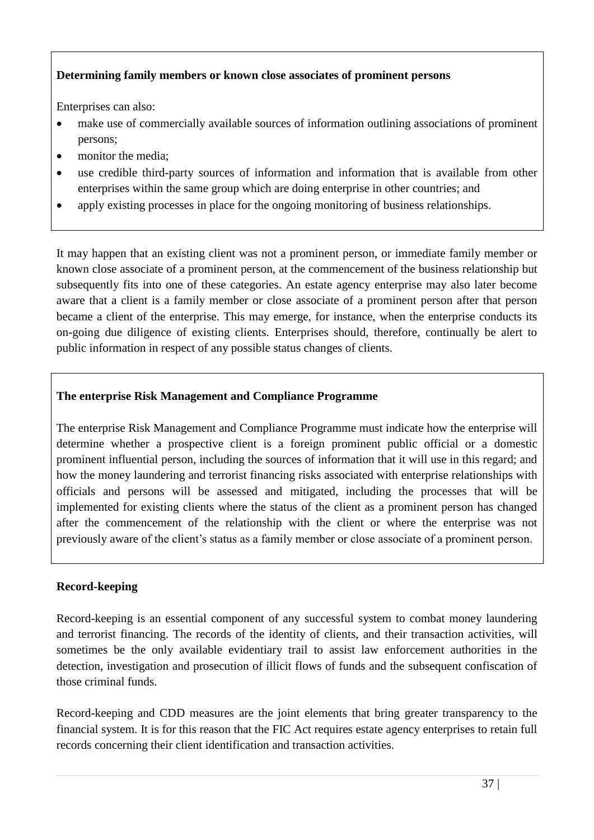# **Determining family members or known close associates of prominent persons**

Enterprises can also:

- make use of commercially available sources of information outlining associations of prominent persons;
- monitor the media;
- use credible third-party sources of information and information that is available from other enterprises within the same group which are doing enterprise in other countries; and
- apply existing processes in place for the ongoing monitoring of business relationships.

It may happen that an existing client was not a prominent person, or immediate family member or known close associate of a prominent person, at the commencement of the business relationship but subsequently fits into one of these categories. An estate agency enterprise may also later become aware that a client is a family member or close associate of a prominent person after that person became a client of the enterprise. This may emerge, for instance, when the enterprise conducts its on-going due diligence of existing clients. Enterprises should, therefore, continually be alert to public information in respect of any possible status changes of clients.

# **The enterprise Risk Management and Compliance Programme**

The enterprise Risk Management and Compliance Programme must indicate how the enterprise will determine whether a prospective client is a foreign prominent public official or a domestic prominent influential person, including the sources of information that it will use in this regard; and how the money laundering and terrorist financing risks associated with enterprise relationships with officials and persons will be assessed and mitigated, including the processes that will be implemented for existing clients where the status of the client as a prominent person has changed after the commencement of the relationship with the client or where the enterprise was not previously aware of the client's status as a family member or close associate of a prominent person.

# **Record-keeping**

Record-keeping is an essential component of any successful system to combat money laundering and terrorist financing. The records of the identity of clients, and their transaction activities, will sometimes be the only available evidentiary trail to assist law enforcement authorities in the detection, investigation and prosecution of illicit flows of funds and the subsequent confiscation of those criminal funds.

Record-keeping and CDD measures are the joint elements that bring greater transparency to the financial system. It is for this reason that the FIC Act requires estate agency enterprises to retain full records concerning their client identification and transaction activities.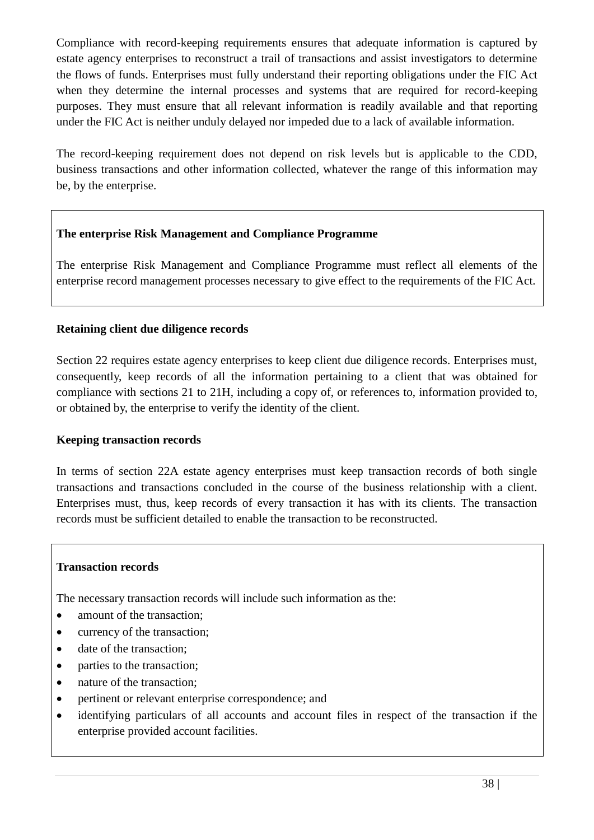Compliance with record-keeping requirements ensures that adequate information is captured by estate agency enterprises to reconstruct a trail of transactions and assist investigators to determine the flows of funds. Enterprises must fully understand their reporting obligations under the FIC Act when they determine the internal processes and systems that are required for record-keeping purposes. They must ensure that all relevant information is readily available and that reporting under the FIC Act is neither unduly delayed nor impeded due to a lack of available information.

The record-keeping requirement does not depend on risk levels but is applicable to the CDD, business transactions and other information collected, whatever the range of this information may be, by the enterprise.

### **The enterprise Risk Management and Compliance Programme**

The enterprise Risk Management and Compliance Programme must reflect all elements of the enterprise record management processes necessary to give effect to the requirements of the FIC Act.

### **Retaining client due diligence records**

Section 22 requires estate agency enterprises to keep client due diligence records. Enterprises must, consequently, keep records of all the information pertaining to a client that was obtained for compliance with sections 21 to 21H, including a copy of, or references to, information provided to, or obtained by, the enterprise to verify the identity of the client.

#### **Keeping transaction records**

In terms of section 22A estate agency enterprises must keep transaction records of both single transactions and transactions concluded in the course of the business relationship with a client. Enterprises must, thus, keep records of every transaction it has with its clients. The transaction records must be sufficient detailed to enable the transaction to be reconstructed.

#### **Transaction records**

The necessary transaction records will include such information as the:

- amount of the transaction;
- currency of the transaction;
- date of the transaction;
- parties to the transaction;
- nature of the transaction;
- pertinent or relevant enterprise correspondence; and
- identifying particulars of all accounts and account files in respect of the transaction if the enterprise provided account facilities.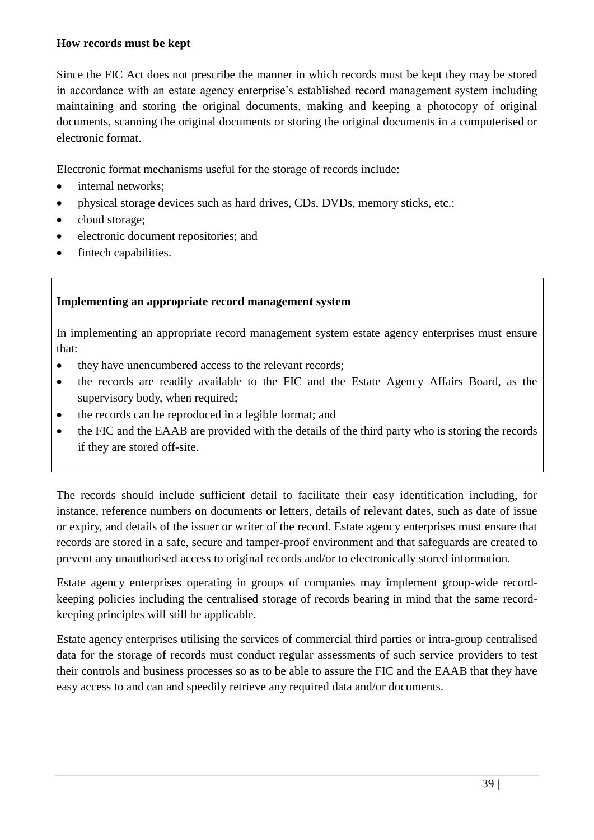#### **How records must be kept**

Since the FIC Act does not prescribe the manner in which records must be kept they may be stored in accordance with an estate agency enterprise's established record management system including maintaining and storing the original documents, making and keeping a photocopy of original documents, scanning the original documents or storing the original documents in a computerised or electronic format.

Electronic format mechanisms useful for the storage of records include:

- internal networks;
- physical storage devices such as hard drives, CDs, DVDs, memory sticks, etc.:
- cloud storage;
- electronic document repositories; and
- fintech capabilities.

### **Implementing an appropriate record management system**

In implementing an appropriate record management system estate agency enterprises must ensure that:

- they have unencumbered access to the relevant records;
- the records are readily available to the FIC and the Estate Agency Affairs Board, as the supervisory body, when required;
- the records can be reproduced in a legible format; and
- the FIC and the EAAB are provided with the details of the third party who is storing the records if they are stored off-site.

The records should include sufficient detail to facilitate their easy identification including, for instance, reference numbers on documents or letters, details of relevant dates, such as date of issue or expiry, and details of the issuer or writer of the record. Estate agency enterprises must ensure that records are stored in a safe, secure and tamper-proof environment and that safeguards are created to prevent any unauthorised access to original records and/or to electronically stored information.

Estate agency enterprises operating in groups of companies may implement group-wide recordkeeping policies including the centralised storage of records bearing in mind that the same recordkeeping principles will still be applicable.

Estate agency enterprises utilising the services of commercial third parties or intra-group centralised data for the storage of records must conduct regular assessments of such service providers to test their controls and business processes so as to be able to assure the FIC and the EAAB that they have easy access to and can and speedily retrieve any required data and/or documents.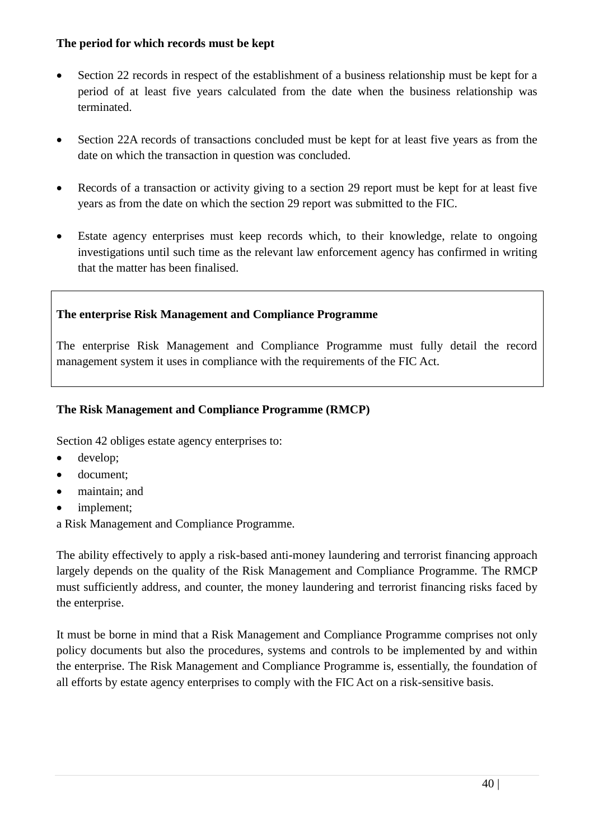#### **The period for which records must be kept**

- Section 22 records in respect of the establishment of a business relationship must be kept for a period of at least five years calculated from the date when the business relationship was terminated.
- Section 22A records of transactions concluded must be kept for at least five years as from the date on which the transaction in question was concluded.
- Records of a transaction or activity giving to a section 29 report must be kept for at least five years as from the date on which the section 29 report was submitted to the FIC.
- Estate agency enterprises must keep records which, to their knowledge, relate to ongoing investigations until such time as the relevant law enforcement agency has confirmed in writing that the matter has been finalised.

# **The enterprise Risk Management and Compliance Programme**

The enterprise Risk Management and Compliance Programme must fully detail the record management system it uses in compliance with the requirements of the FIC Act.

### **The Risk Management and Compliance Programme (RMCP)**

Section 42 obliges estate agency enterprises to:

- develop;
- document;
- maintain; and
- implement;

a Risk Management and Compliance Programme.

The ability effectively to apply a risk-based anti-money laundering and terrorist financing approach largely depends on the quality of the Risk Management and Compliance Programme. The RMCP must sufficiently address, and counter, the money laundering and terrorist financing risks faced by the enterprise.

It must be borne in mind that a Risk Management and Compliance Programme comprises not only policy documents but also the procedures, systems and controls to be implemented by and within the enterprise. The Risk Management and Compliance Programme is, essentially, the foundation of all efforts by estate agency enterprises to comply with the FIC Act on a risk-sensitive basis.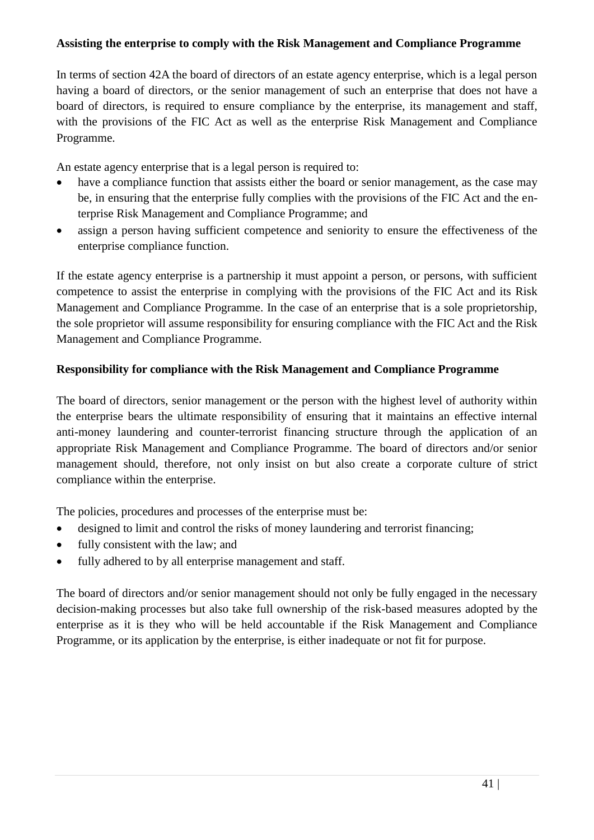#### **Assisting the enterprise to comply with the Risk Management and Compliance Programme**

In terms of section 42A the board of directors of an estate agency enterprise, which is a legal person having a board of directors, or the senior management of such an enterprise that does not have a board of directors, is required to ensure compliance by the enterprise, its management and staff, with the provisions of the FIC Act as well as the enterprise Risk Management and Compliance Programme.

An estate agency enterprise that is a legal person is required to:

- have a compliance function that assists either the board or senior management, as the case may be, in ensuring that the enterprise fully complies with the provisions of the FIC Act and the enterprise Risk Management and Compliance Programme; and
- assign a person having sufficient competence and seniority to ensure the effectiveness of the enterprise compliance function.

If the estate agency enterprise is a partnership it must appoint a person, or persons, with sufficient competence to assist the enterprise in complying with the provisions of the FIC Act and its Risk Management and Compliance Programme. In the case of an enterprise that is a sole proprietorship, the sole proprietor will assume responsibility for ensuring compliance with the FIC Act and the Risk Management and Compliance Programme.

### **Responsibility for compliance with the Risk Management and Compliance Programme**

The board of directors, senior management or the person with the highest level of authority within the enterprise bears the ultimate responsibility of ensuring that it maintains an effective internal anti-money laundering and counter-terrorist financing structure through the application of an appropriate Risk Management and Compliance Programme. The board of directors and/or senior management should, therefore, not only insist on but also create a corporate culture of strict compliance within the enterprise.

The policies, procedures and processes of the enterprise must be:

- designed to limit and control the risks of money laundering and terrorist financing;
- fully consistent with the law; and
- fully adhered to by all enterprise management and staff.

The board of directors and/or senior management should not only be fully engaged in the necessary decision-making processes but also take full ownership of the risk-based measures adopted by the enterprise as it is they who will be held accountable if the Risk Management and Compliance Programme, or its application by the enterprise, is either inadequate or not fit for purpose.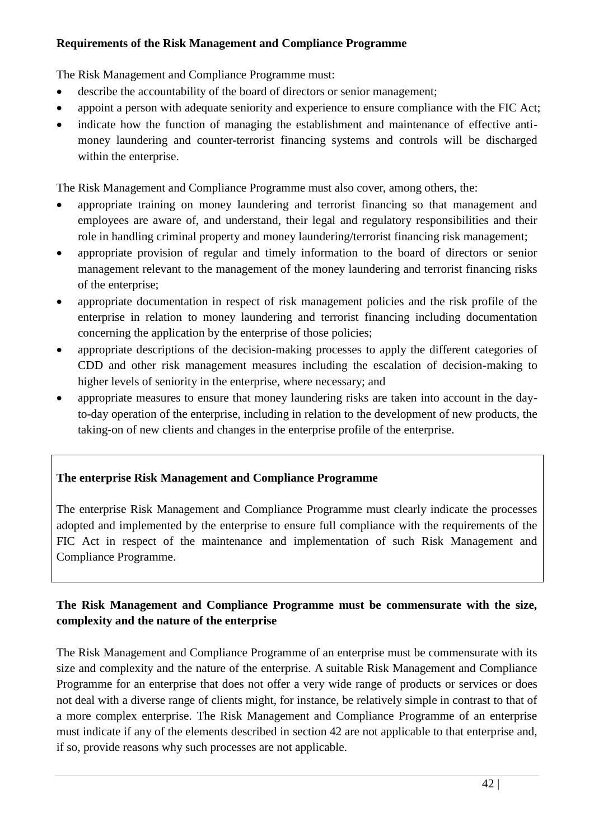#### **Requirements of the Risk Management and Compliance Programme**

The Risk Management and Compliance Programme must:

- describe the accountability of the board of directors or senior management;
- appoint a person with adequate seniority and experience to ensure compliance with the FIC Act;
- indicate how the function of managing the establishment and maintenance of effective antimoney laundering and counter-terrorist financing systems and controls will be discharged within the enterprise.

The Risk Management and Compliance Programme must also cover, among others, the:

- appropriate training on money laundering and terrorist financing so that management and employees are aware of, and understand, their legal and regulatory responsibilities and their role in handling criminal property and money laundering/terrorist financing risk management;
- appropriate provision of regular and timely information to the board of directors or senior management relevant to the management of the money laundering and terrorist financing risks of the enterprise;
- appropriate documentation in respect of risk management policies and the risk profile of the enterprise in relation to money laundering and terrorist financing including documentation concerning the application by the enterprise of those policies;
- appropriate descriptions of the decision-making processes to apply the different categories of CDD and other risk management measures including the escalation of decision-making to higher levels of seniority in the enterprise, where necessary; and
- appropriate measures to ensure that money laundering risks are taken into account in the dayto-day operation of the enterprise, including in relation to the development of new products, the taking-on of new clients and changes in the enterprise profile of the enterprise.

# **The enterprise Risk Management and Compliance Programme**

The enterprise Risk Management and Compliance Programme must clearly indicate the processes adopted and implemented by the enterprise to ensure full compliance with the requirements of the FIC Act in respect of the maintenance and implementation of such Risk Management and Compliance Programme.

# **The Risk Management and Compliance Programme must be commensurate with the size, complexity and the nature of the enterprise**

The Risk Management and Compliance Programme of an enterprise must be commensurate with its size and complexity and the nature of the enterprise. A suitable Risk Management and Compliance Programme for an enterprise that does not offer a very wide range of products or services or does not deal with a diverse range of clients might, for instance, be relatively simple in contrast to that of a more complex enterprise. The Risk Management and Compliance Programme of an enterprise must indicate if any of the elements described in section 42 are not applicable to that enterprise and, if so, provide reasons why such processes are not applicable.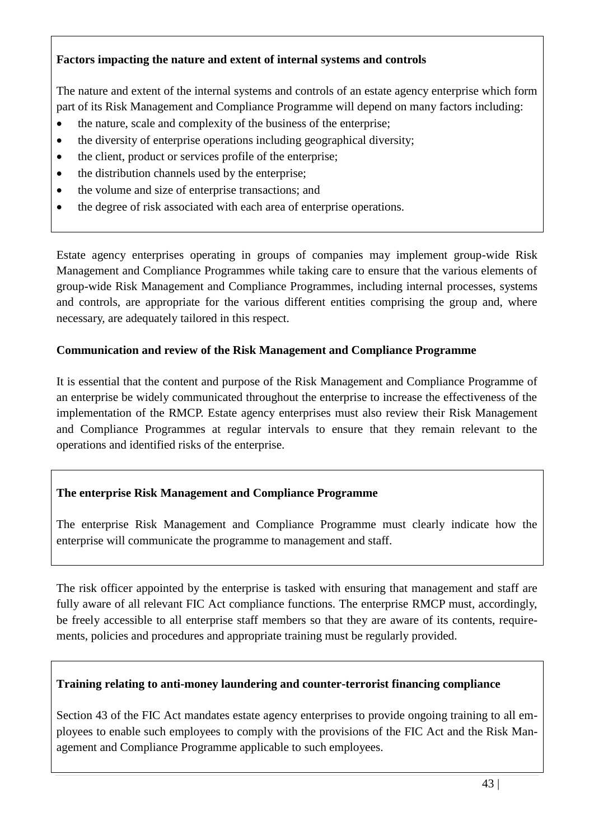### **Factors impacting the nature and extent of internal systems and controls**

The nature and extent of the internal systems and controls of an estate agency enterprise which form part of its Risk Management and Compliance Programme will depend on many factors including:

- the nature, scale and complexity of the business of the enterprise;
- the diversity of enterprise operations including geographical diversity;
- the client, product or services profile of the enterprise;
- the distribution channels used by the enterprise;
- the volume and size of enterprise transactions; and
- the degree of risk associated with each area of enterprise operations.

Estate agency enterprises operating in groups of companies may implement group-wide Risk Management and Compliance Programmes while taking care to ensure that the various elements of group-wide Risk Management and Compliance Programmes, including internal processes, systems and controls, are appropriate for the various different entities comprising the group and, where necessary, are adequately tailored in this respect.

#### **Communication and review of the Risk Management and Compliance Programme**

It is essential that the content and purpose of the Risk Management and Compliance Programme of an enterprise be widely communicated throughout the enterprise to increase the effectiveness of the implementation of the RMCP. Estate agency enterprises must also review their Risk Management and Compliance Programmes at regular intervals to ensure that they remain relevant to the operations and identified risks of the enterprise.

# **The enterprise Risk Management and Compliance Programme**

The enterprise Risk Management and Compliance Programme must clearly indicate how the enterprise will communicate the programme to management and staff.

The risk officer appointed by the enterprise is tasked with ensuring that management and staff are fully aware of all relevant FIC Act compliance functions. The enterprise RMCP must, accordingly, be freely accessible to all enterprise staff members so that they are aware of its contents, requirements, policies and procedures and appropriate training must be regularly provided.

#### **Training relating to anti-money laundering and counter-terrorist financing compliance**

Section 43 of the FIC Act mandates estate agency enterprises to provide ongoing training to all employees to enable such employees to comply with the provisions of the FIC Act and the Risk Management and Compliance Programme applicable to such employees.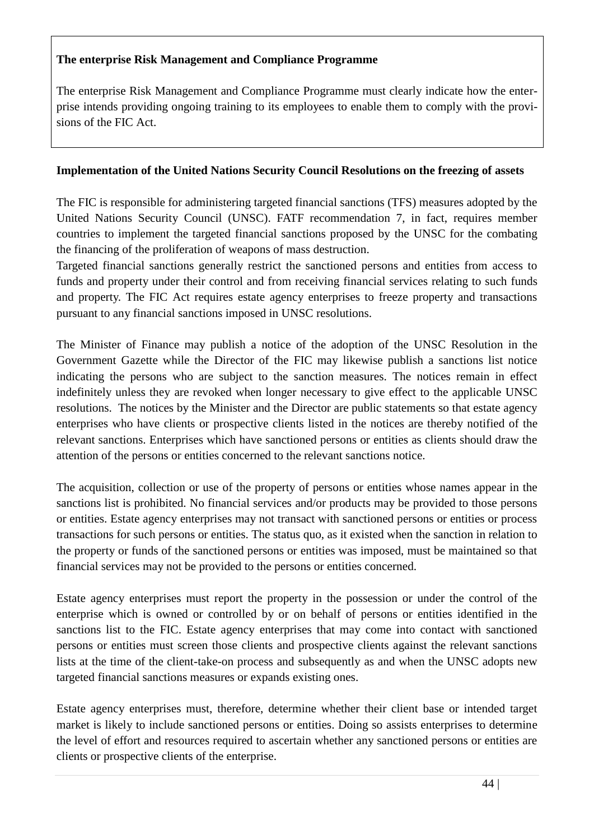### **The enterprise Risk Management and Compliance Programme**

The enterprise Risk Management and Compliance Programme must clearly indicate how the enterprise intends providing ongoing training to its employees to enable them to comply with the provisions of the FIC Act.

### **Implementation of the United Nations Security Council Resolutions on the freezing of assets**

The FIC is responsible for administering targeted financial sanctions (TFS) measures adopted by the United Nations Security Council (UNSC). FATF recommendation 7, in fact, requires member countries to implement the targeted financial sanctions proposed by the UNSC for the combating the financing of the proliferation of weapons of mass destruction.

Targeted financial sanctions generally restrict the sanctioned persons and entities from access to funds and property under their control and from receiving financial services relating to such funds and property. The FIC Act requires estate agency enterprises to freeze property and transactions pursuant to any financial sanctions imposed in UNSC resolutions.

The Minister of Finance may publish a notice of the adoption of the UNSC Resolution in the Government Gazette while the Director of the FIC may likewise publish a sanctions list notice indicating the persons who are subject to the sanction measures. The notices remain in effect indefinitely unless they are revoked when longer necessary to give effect to the applicable UNSC resolutions. The notices by the Minister and the Director are public statements so that estate agency enterprises who have clients or prospective clients listed in the notices are thereby notified of the relevant sanctions. Enterprises which have sanctioned persons or entities as clients should draw the attention of the persons or entities concerned to the relevant sanctions notice.

The acquisition, collection or use of the property of persons or entities whose names appear in the sanctions list is prohibited. No financial services and/or products may be provided to those persons or entities. Estate agency enterprises may not transact with sanctioned persons or entities or process transactions for such persons or entities. The status quo, as it existed when the sanction in relation to the property or funds of the sanctioned persons or entities was imposed, must be maintained so that financial services may not be provided to the persons or entities concerned.

Estate agency enterprises must report the property in the possession or under the control of the enterprise which is owned or controlled by or on behalf of persons or entities identified in the sanctions list to the FIC. Estate agency enterprises that may come into contact with sanctioned persons or entities must screen those clients and prospective clients against the relevant sanctions lists at the time of the client-take-on process and subsequently as and when the UNSC adopts new targeted financial sanctions measures or expands existing ones.

Estate agency enterprises must, therefore, determine whether their client base or intended target market is likely to include sanctioned persons or entities. Doing so assists enterprises to determine the level of effort and resources required to ascertain whether any sanctioned persons or entities are clients or prospective clients of the enterprise.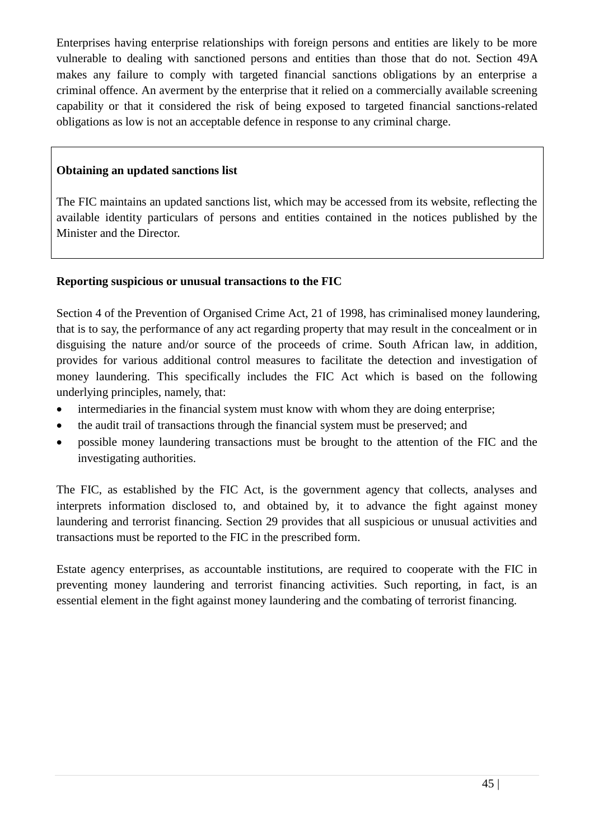Enterprises having enterprise relationships with foreign persons and entities are likely to be more vulnerable to dealing with sanctioned persons and entities than those that do not. Section 49A makes any failure to comply with targeted financial sanctions obligations by an enterprise a criminal offence. An averment by the enterprise that it relied on a commercially available screening capability or that it considered the risk of being exposed to targeted financial sanctions-related obligations as low is not an acceptable defence in response to any criminal charge.

### **Obtaining an updated sanctions list**

The FIC maintains an updated sanctions list, which may be accessed from its website, reflecting the available identity particulars of persons and entities contained in the notices published by the Minister and the Director.

### **Reporting suspicious or unusual transactions to the FIC**

Section 4 of the Prevention of Organised Crime Act, 21 of 1998, has criminalised money laundering, that is to say, the performance of any act regarding property that may result in the concealment or in disguising the nature and/or source of the proceeds of crime. South African law, in addition, provides for various additional control measures to facilitate the detection and investigation of money laundering. This specifically includes the FIC Act which is based on the following underlying principles, namely, that:

- intermediaries in the financial system must know with whom they are doing enterprise;
- the audit trail of transactions through the financial system must be preserved; and
- possible money laundering transactions must be brought to the attention of the FIC and the investigating authorities.

The FIC, as established by the FIC Act, is the government agency that collects, analyses and interprets information disclosed to, and obtained by, it to advance the fight against money laundering and terrorist financing. Section 29 provides that all suspicious or unusual activities and transactions must be reported to the FIC in the prescribed form.

Estate agency enterprises, as accountable institutions, are required to cooperate with the FIC in preventing money laundering and terrorist financing activities. Such reporting, in fact, is an essential element in the fight against money laundering and the combating of terrorist financing.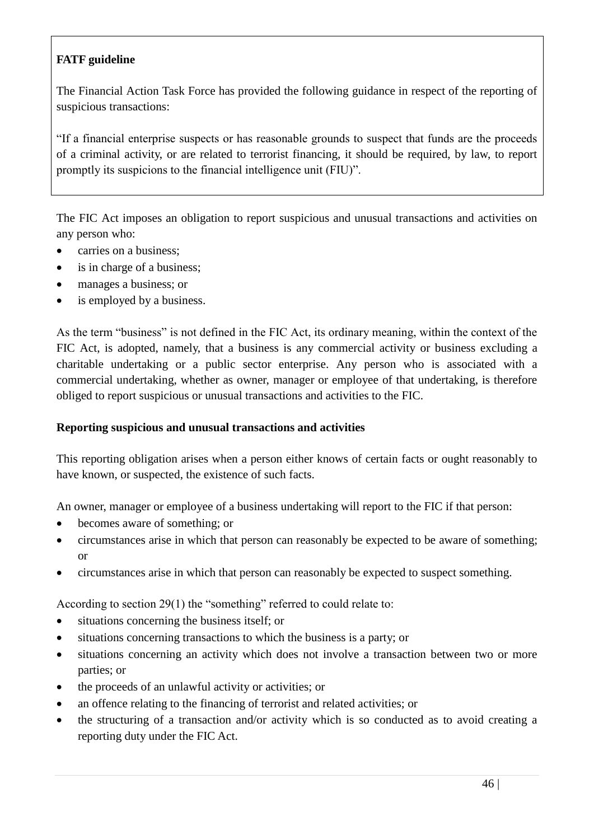# **FATF guideline**

The Financial Action Task Force has provided the following guidance in respect of the reporting of suspicious transactions:

"If a financial enterprise suspects or has reasonable grounds to suspect that funds are the proceeds of a criminal activity, or are related to terrorist financing, it should be required, by law, to report promptly its suspicions to the financial intelligence unit (FIU)".

The FIC Act imposes an obligation to report suspicious and unusual transactions and activities on any person who:

- carries on a business;
- is in charge of a business;
- manages a business; or
- is employed by a business.

As the term "business" is not defined in the FIC Act, its ordinary meaning, within the context of the FIC Act, is adopted, namely, that a business is any commercial activity or business excluding a charitable undertaking or a public sector enterprise. Any person who is associated with a commercial undertaking, whether as owner, manager or employee of that undertaking, is therefore obliged to report suspicious or unusual transactions and activities to the FIC.

#### **Reporting suspicious and unusual transactions and activities**

This reporting obligation arises when a person either knows of certain facts or ought reasonably to have known, or suspected, the existence of such facts.

An owner, manager or employee of a business undertaking will report to the FIC if that person:

- becomes aware of something; or
- circumstances arise in which that person can reasonably be expected to be aware of something; or
- circumstances arise in which that person can reasonably be expected to suspect something.

According to section 29(1) the "something" referred to could relate to:

- situations concerning the business itself; or
- situations concerning transactions to which the business is a party; or
- situations concerning an activity which does not involve a transaction between two or more parties; or
- the proceeds of an unlawful activity or activities; or
- an offence relating to the financing of terrorist and related activities; or
- the structuring of a transaction and/or activity which is so conducted as to avoid creating a reporting duty under the FIC Act.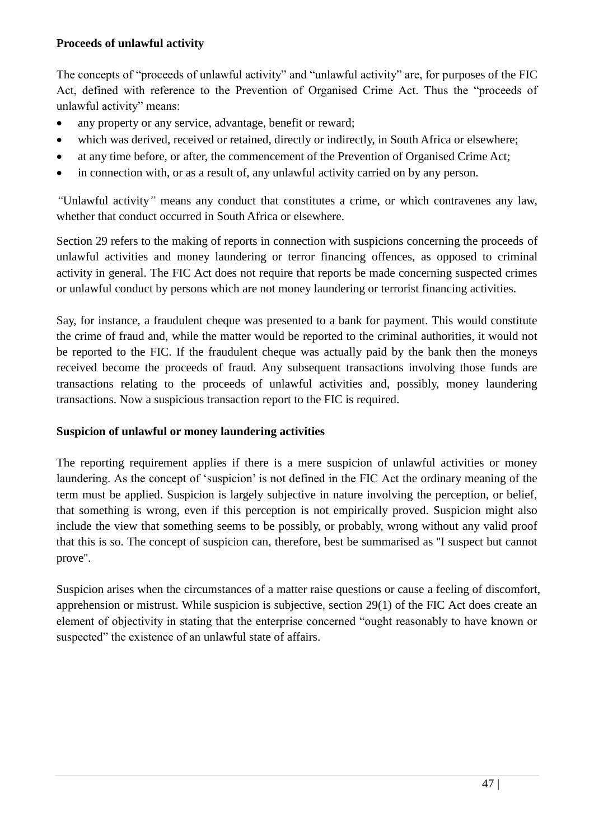#### **Proceeds of unlawful activity**

The concepts of "proceeds of unlawful activity" and "unlawful activity" are, for purposes of the FIC Act, defined with reference to the Prevention of Organised Crime Act. Thus the "proceeds of unlawful activity" means:

- any property or any service, advantage, benefit or reward;
- which was derived, received or retained, directly or indirectly, in South Africa or elsewhere;
- at any time before, or after, the commencement of the Prevention of Organised Crime Act;
- in connection with, or as a result of, any unlawful activity carried on by any person.

*"*Unlawful activity*"* means any conduct that constitutes a crime, or which contravenes any law, whether that conduct occurred in South Africa or elsewhere.

Section 29 refers to the making of reports in connection with suspicions concerning the proceeds of unlawful activities and money laundering or terror financing offences, as opposed to criminal activity in general. The FIC Act does not require that reports be made concerning suspected crimes or unlawful conduct by persons which are not money laundering or terrorist financing activities.

Say, for instance, a fraudulent cheque was presented to a bank for payment. This would constitute the crime of fraud and, while the matter would be reported to the criminal authorities, it would not be reported to the FIC. If the fraudulent cheque was actually paid by the bank then the moneys received become the proceeds of fraud. Any subsequent transactions involving those funds are transactions relating to the proceeds of unlawful activities and, possibly, money laundering transactions. Now a suspicious transaction report to the FIC is required.

# **Suspicion of unlawful or money laundering activities**

The reporting requirement applies if there is a mere suspicion of unlawful activities or money laundering. As the concept of 'suspicion' is not defined in the FIC Act the ordinary meaning of the term must be applied. Suspicion is largely subjective in nature involving the perception, or belief, that something is wrong, even if this perception is not empirically proved. Suspicion might also include the view that something seems to be possibly, or probably, wrong without any valid proof that this is so. The concept of suspicion can, therefore, best be summarised as ''I suspect but cannot prove''.

Suspicion arises when the circumstances of a matter raise questions or cause a feeling of discomfort, apprehension or mistrust. While suspicion is subjective, section 29(1) of the FIC Act does create an element of objectivity in stating that the enterprise concerned "ought reasonably to have known or suspected" the existence of an unlawful state of affairs.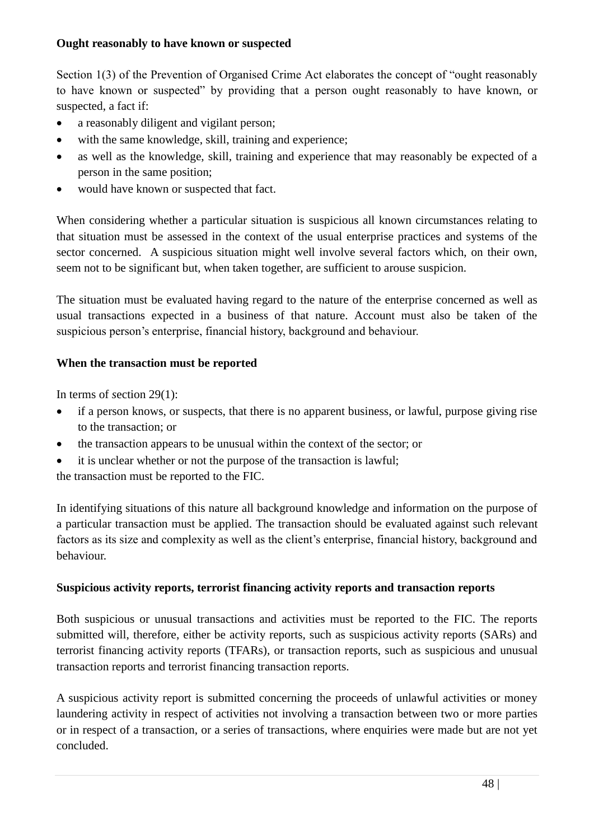#### **Ought reasonably to have known or suspected**

Section 1(3) of the Prevention of Organised Crime Act elaborates the concept of "ought reasonably to have known or suspected" by providing that a person ought reasonably to have known, or suspected, a fact if:

- a reasonably diligent and vigilant person;
- with the same knowledge, skill, training and experience;
- as well as the knowledge, skill, training and experience that may reasonably be expected of a person in the same position;
- would have known or suspected that fact.

When considering whether a particular situation is suspicious all known circumstances relating to that situation must be assessed in the context of the usual enterprise practices and systems of the sector concerned. A suspicious situation might well involve several factors which, on their own, seem not to be significant but, when taken together, are sufficient to arouse suspicion.

The situation must be evaluated having regard to the nature of the enterprise concerned as well as usual transactions expected in a business of that nature. Account must also be taken of the suspicious person's enterprise, financial history, background and behaviour.

# **When the transaction must be reported**

In terms of *s*ection 29(1):

- if a person knows, or suspects, that there is no apparent business, or lawful, purpose giving rise to the transaction; or
- the transaction appears to be unusual within the context of the sector; or
- it is unclear whether or not the purpose of the transaction is lawful;

the transaction must be reported to the FIC.

In identifying situations of this nature all background knowledge and information on the purpose of a particular transaction must be applied. The transaction should be evaluated against such relevant factors as its size and complexity as well as the client's enterprise, financial history, background and behaviour.

# **Suspicious activity reports, terrorist financing activity reports and transaction reports**

Both suspicious or unusual transactions and activities must be reported to the FIC. The reports submitted will, therefore, either be activity reports, such as suspicious activity reports (SARs) and terrorist financing activity reports (TFARs), or transaction reports, such as suspicious and unusual transaction reports and terrorist financing transaction reports.

A suspicious activity report is submitted concerning the proceeds of unlawful activities or money laundering activity in respect of activities not involving a transaction between two or more parties or in respect of a transaction, or a series of transactions, where enquiries were made but are not yet concluded.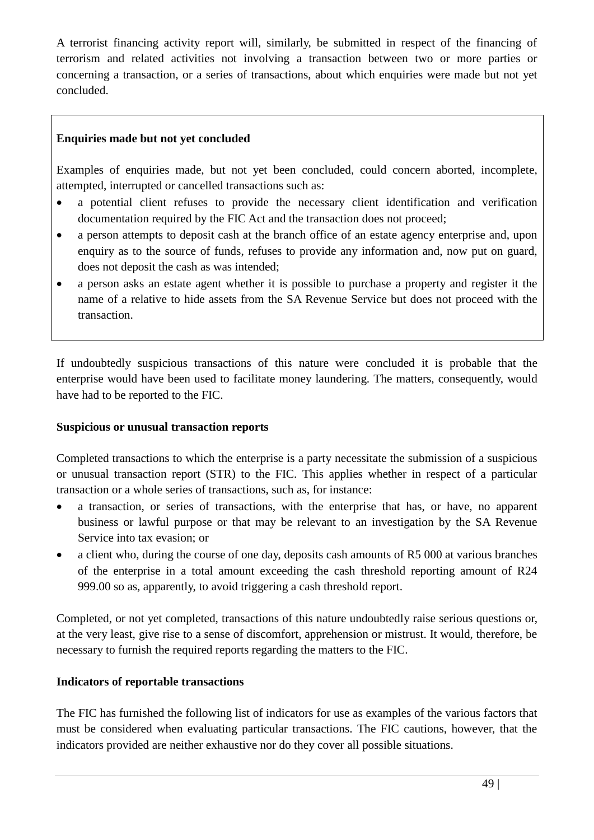A terrorist financing activity report will, similarly, be submitted in respect of the financing of terrorism and related activities not involving a transaction between two or more parties or concerning a transaction, or a series of transactions, about which enquiries were made but not yet concluded.

### **Enquiries made but not yet concluded**

Examples of enquiries made, but not yet been concluded, could concern aborted, incomplete, attempted, interrupted or cancelled transactions such as:

- a potential client refuses to provide the necessary client identification and verification documentation required by the FIC Act and the transaction does not proceed;
- a person attempts to deposit cash at the branch office of an estate agency enterprise and, upon enquiry as to the source of funds, refuses to provide any information and, now put on guard, does not deposit the cash as was intended;
- a person asks an estate agent whether it is possible to purchase a property and register it the name of a relative to hide assets from the SA Revenue Service but does not proceed with the transaction.

If undoubtedly suspicious transactions of this nature were concluded it is probable that the enterprise would have been used to facilitate money laundering. The matters, consequently, would have had to be reported to the FIC.

#### **Suspicious or unusual transaction reports**

Completed transactions to which the enterprise is a party necessitate the submission of a suspicious or unusual transaction report (STR) to the FIC. This applies whether in respect of a particular transaction or a whole series of transactions, such as, for instance:

- a transaction, or series of transactions, with the enterprise that has, or have, no apparent business or lawful purpose or that may be relevant to an investigation by the SA Revenue Service into tax evasion; or
- a client who, during the course of one day, deposits cash amounts of R5 000 at various branches of the enterprise in a total amount exceeding the cash threshold reporting amount of R24 999.00 so as, apparently, to avoid triggering a cash threshold report.

Completed, or not yet completed, transactions of this nature undoubtedly raise serious questions or, at the very least, give rise to a sense of discomfort, apprehension or mistrust. It would, therefore, be necessary to furnish the required reports regarding the matters to the FIC.

# **Indicators of reportable transactions**

The FIC has furnished the following list of indicators for use as examples of the various factors that must be considered when evaluating particular transactions. The FIC cautions, however, that the indicators provided are neither exhaustive nor do they cover all possible situations.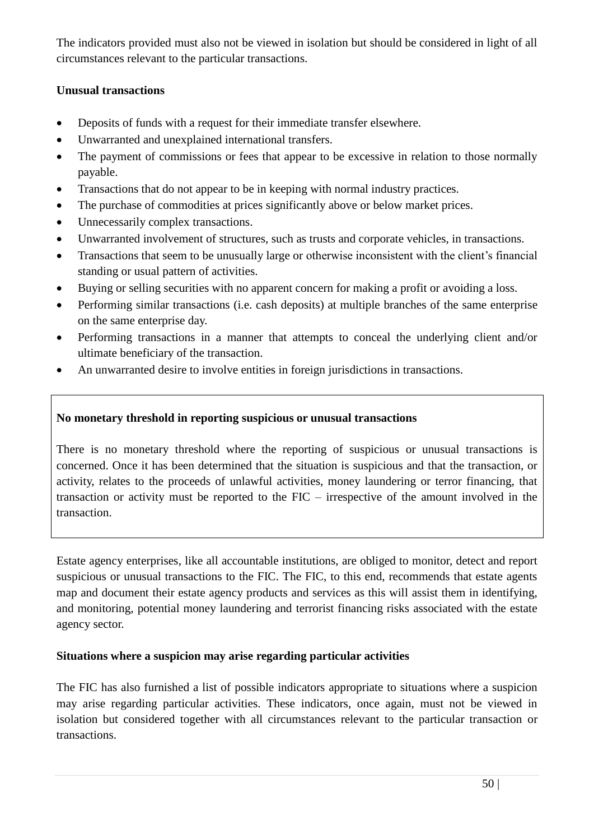The indicators provided must also not be viewed in isolation but should be considered in light of all circumstances relevant to the particular transactions.

### **Unusual transactions**

- Deposits of funds with a request for their immediate transfer elsewhere.
- Unwarranted and unexplained international transfers.
- The payment of commissions or fees that appear to be excessive in relation to those normally payable.
- Transactions that do not appear to be in keeping with normal industry practices.
- The purchase of commodities at prices significantly above or below market prices.
- Unnecessarily complex transactions.
- Unwarranted involvement of structures, such as trusts and corporate vehicles, in transactions.
- Transactions that seem to be unusually large or otherwise inconsistent with the client's financial standing or usual pattern of activities.
- Buying or selling securities with no apparent concern for making a profit or avoiding a loss.
- Performing similar transactions (i.e. cash deposits) at multiple branches of the same enterprise on the same enterprise day.
- Performing transactions in a manner that attempts to conceal the underlying client and/or ultimate beneficiary of the transaction.
- An unwarranted desire to involve entities in foreign jurisdictions in transactions.

# **No monetary threshold in reporting suspicious or unusual transactions**

There is no monetary threshold where the reporting of suspicious or unusual transactions is concerned. Once it has been determined that the situation is suspicious and that the transaction, or activity, relates to the proceeds of unlawful activities, money laundering or terror financing, that transaction or activity must be reported to the FIC – irrespective of the amount involved in the transaction.

Estate agency enterprises, like all accountable institutions, are obliged to monitor, detect and report suspicious or unusual transactions to the FIC. The FIC, to this end, recommends that estate agents map and document their estate agency products and services as this will assist them in identifying, and monitoring, potential money laundering and terrorist financing risks associated with the estate agency sector.

# **Situations where a suspicion may arise regarding particular activities**

The FIC has also furnished a list of possible indicators appropriate to situations where a suspicion may arise regarding particular activities. These indicators, once again, must not be viewed in isolation but considered together with all circumstances relevant to the particular transaction or transactions.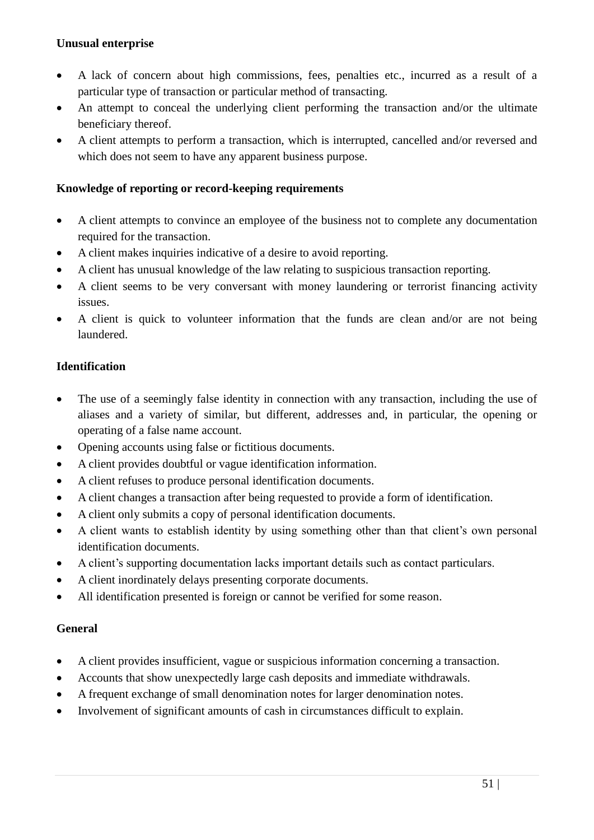### **Unusual enterprise**

- A lack of concern about high commissions, fees, penalties etc., incurred as a result of a particular type of transaction or particular method of transacting.
- An attempt to conceal the underlying client performing the transaction and/or the ultimate beneficiary thereof.
- A client attempts to perform a transaction, which is interrupted, cancelled and/or reversed and which does not seem to have any apparent business purpose.

### **Knowledge of reporting or record-keeping requirements**

- A client attempts to convince an employee of the business not to complete any documentation required for the transaction.
- A client makes inquiries indicative of a desire to avoid reporting.
- A client has unusual knowledge of the law relating to suspicious transaction reporting.
- A client seems to be very conversant with money laundering or terrorist financing activity issues.
- A client is quick to volunteer information that the funds are clean and/or are not being laundered.

### **Identification**

- The use of a seemingly false identity in connection with any transaction, including the use of aliases and a variety of similar, but different, addresses and, in particular, the opening or operating of a false name account.
- Opening accounts using false or fictitious documents.
- A client provides doubtful or vague identification information.
- A client refuses to produce personal identification documents.
- A client changes a transaction after being requested to provide a form of identification.
- A client only submits a copy of personal identification documents.
- A client wants to establish identity by using something other than that client's own personal identification documents.
- A client's supporting documentation lacks important details such as contact particulars.
- A client inordinately delays presenting corporate documents.
- All identification presented is foreign or cannot be verified for some reason.

#### **General**

- A client provides insufficient, vague or suspicious information concerning a transaction.
- Accounts that show unexpectedly large cash deposits and immediate withdrawals.
- A frequent exchange of small denomination notes for larger denomination notes.
- Involvement of significant amounts of cash in circumstances difficult to explain.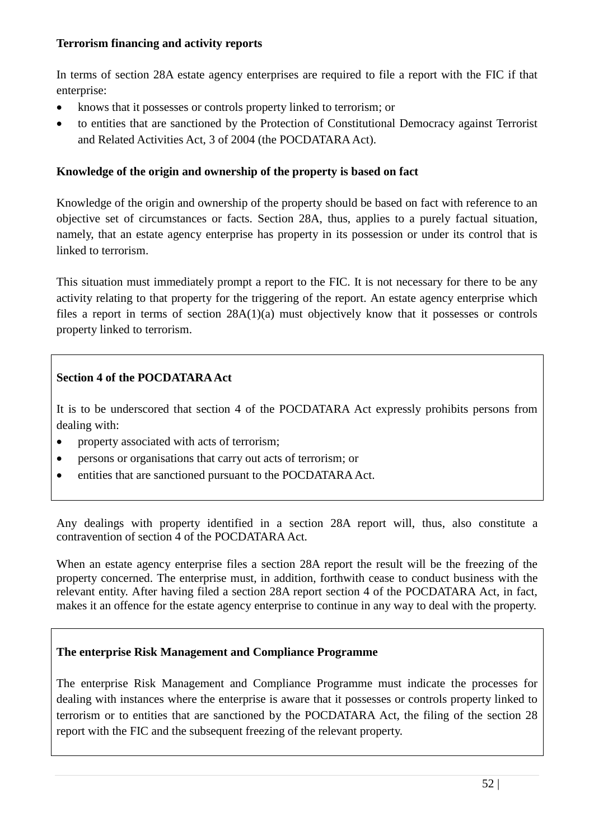#### **Terrorism financing and activity reports**

In terms of section 28A estate agency enterprises are required to file a report with the FIC if that enterprise:

- knows that it possesses or controls property linked to terrorism; or
- to entities that are sanctioned by the Protection of Constitutional Democracy against Terrorist and Related Activities Act, 3 of 2004 (the POCDATARA Act).

#### **Knowledge of the origin and ownership of the property is based on fact**

Knowledge of the origin and ownership of the property should be based on fact with reference to an objective set of circumstances or facts. Section 28A, thus, applies to a purely factual situation, namely, that an estate agency enterprise has property in its possession or under its control that is linked to terrorism.

This situation must immediately prompt a report to the FIC. It is not necessary for there to be any activity relating to that property for the triggering of the report. An estate agency enterprise which files a report in terms of section 28A(1)(a) must objectively know that it possesses or controls property linked to terrorism.

### **Section 4 of the POCDATARA Act**

It is to be underscored that section 4 of the POCDATARA Act expressly prohibits persons from dealing with:

- property associated with acts of terrorism;
- persons or organisations that carry out acts of terrorism; or
- entities that are sanctioned pursuant to the POCDATARA Act.

Any dealings with property identified in a section 28A report will, thus, also constitute a contravention of section 4 of the POCDATARA Act.

When an estate agency enterprise files a section 28A report the result will be the freezing of the property concerned. The enterprise must, in addition, forthwith cease to conduct business with the relevant entity. After having filed a section 28A report section 4 of the POCDATARA Act, in fact, makes it an offence for the estate agency enterprise to continue in any way to deal with the property.

#### **The enterprise Risk Management and Compliance Programme**

The enterprise Risk Management and Compliance Programme must indicate the processes for dealing with instances where the enterprise is aware that it possesses or controls property linked to terrorism or to entities that are sanctioned by the POCDATARA Act, the filing of the section 28 report with the FIC and the subsequent freezing of the relevant property.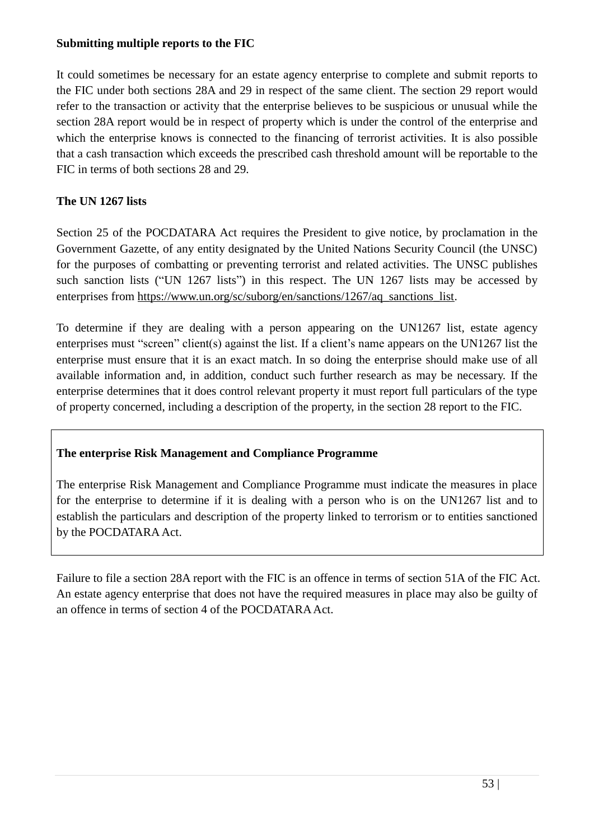#### **Submitting multiple reports to the FIC**

It could sometimes be necessary for an estate agency enterprise to complete and submit reports to the FIC under both sections 28A and 29 in respect of the same client. The section 29 report would refer to the transaction or activity that the enterprise believes to be suspicious or unusual while the section 28A report would be in respect of property which is under the control of the enterprise and which the enterprise knows is connected to the financing of terrorist activities. It is also possible that a cash transaction which exceeds the prescribed cash threshold amount will be reportable to the FIC in terms of both sections 28 and 29.

# **The UN 1267 lists**

Section 25 of the POCDATARA Act requires the President to give notice, by proclamation in the Government Gazette, of any entity designated by the United Nations Security Council (the UNSC) for the purposes of combatting or preventing terrorist and related activities. The UNSC publishes such sanction lists ("UN 1267 lists") in this respect. The UN 1267 lists may be accessed by enterprises from [https://www.un.org/sc/suborg/en/sanctions/1267/aq\\_sanctions\\_list.](https://www.un.org/sc/suborg/en/sanctions/1267/aq_sanctions_list)

To determine if they are dealing with a person appearing on the UN1267 list, estate agency enterprises must "screen" client(s) against the list. If a client's name appears on the UN1267 list the enterprise must ensure that it is an exact match. In so doing the enterprise should make use of all available information and, in addition, conduct such further research as may be necessary. If the enterprise determines that it does control relevant property it must report full particulars of the type of property concerned, including a description of the property, in the section 28 report to the FIC.

# **The enterprise Risk Management and Compliance Programme**

The enterprise Risk Management and Compliance Programme must indicate the measures in place for the enterprise to determine if it is dealing with a person who is on the UN1267 list and to establish the particulars and description of the property linked to terrorism or to entities sanctioned by the POCDATARA Act.

Failure to file a section 28A report with the FIC is an offence in terms of section 51A of the FIC Act. An estate agency enterprise that does not have the required measures in place may also be guilty of an offence in terms of section 4 of the POCDATARA Act.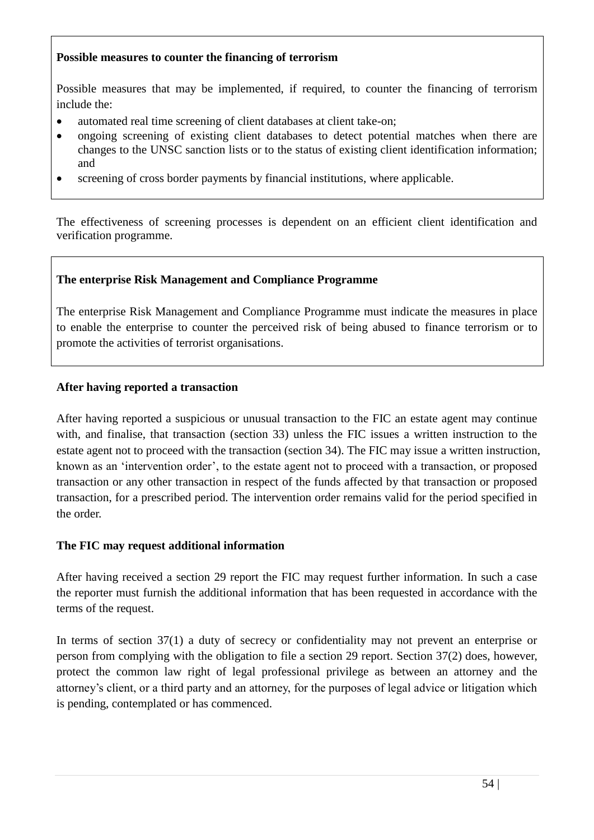### **Possible measures to counter the financing of terrorism**

Possible measures that may be implemented, if required, to counter the financing of terrorism include the:

- automated real time screening of client databases at client take-on;
- ongoing screening of existing client databases to detect potential matches when there are changes to the UNSC sanction lists or to the status of existing client identification information; and
- screening of cross border payments by financial institutions, where applicable.

The effectiveness of screening processes is dependent on an efficient client identification and verification programme.

### **The enterprise Risk Management and Compliance Programme**

The enterprise Risk Management and Compliance Programme must indicate the measures in place to enable the enterprise to counter the perceived risk of being abused to finance terrorism or to promote the activities of terrorist organisations.

### **After having reported a transaction**

After having reported a suspicious or unusual transaction to the FIC an estate agent may continue with, and finalise, that transaction (section 33) unless the FIC issues a written instruction to the estate agent not to proceed with the transaction (section 34). The FIC may issue a written instruction, known as an 'intervention order', to the estate agent not to proceed with a transaction, or proposed transaction or any other transaction in respect of the funds affected by that transaction or proposed transaction, for a prescribed period. The intervention order remains valid for the period specified in the order.

#### **The FIC may request additional information**

After having received a section 29 report the FIC may request further information. In such a case the reporter must furnish the additional information that has been requested in accordance with the terms of the request.

In terms of section 37(1) a duty of secrecy or confidentiality may not prevent an enterprise or person from complying with the obligation to file a section 29 report. Section 37(2) does, however, protect the common law right of legal professional privilege as between an attorney and the attorney's client, or a third party and an attorney, for the purposes of legal advice or litigation which is pending, contemplated or has commenced.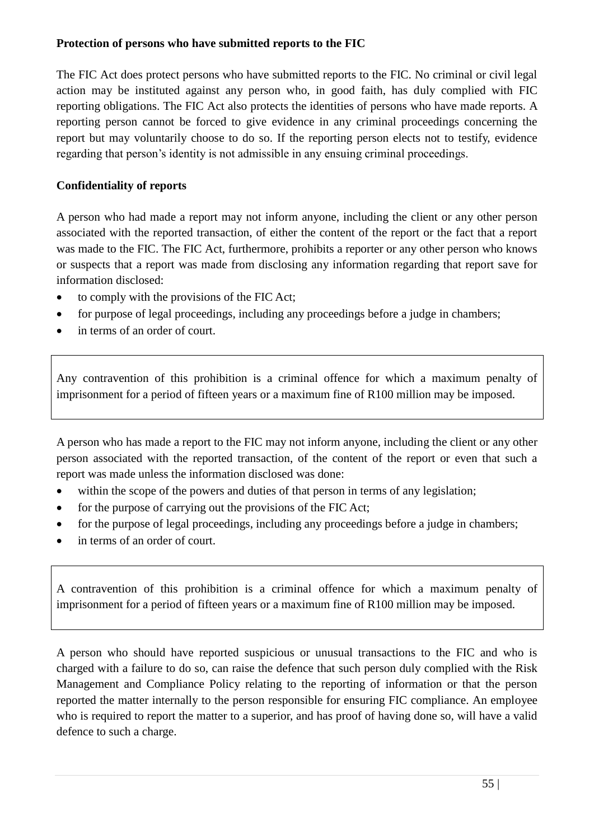#### **Protection of persons who have submitted reports to the FIC**

The FIC Act does protect persons who have submitted reports to the FIC. No criminal or civil legal action may be instituted against any person who, in good faith, has duly complied with FIC reporting obligations. The FIC Act also protects the identities of persons who have made reports. A reporting person cannot be forced to give evidence in any criminal proceedings concerning the report but may voluntarily choose to do so. If the reporting person elects not to testify, evidence regarding that person's identity is not admissible in any ensuing criminal proceedings.

# **Confidentiality of reports**

A person who had made a report may not inform anyone, including the client or any other person associated with the reported transaction, of either the content of the report or the fact that a report was made to the FIC. The FIC Act, furthermore, prohibits a reporter or any other person who knows or suspects that a report was made from disclosing any information regarding that report save for information disclosed:

- to comply with the provisions of the FIC Act;
- for purpose of legal proceedings, including any proceedings before a judge in chambers;
- in terms of an order of court.

Any contravention of this prohibition is a criminal offence for which a maximum penalty of imprisonment for a period of fifteen years or a maximum fine of R100 million may be imposed.

A person who has made a report to the FIC may not inform anyone, including the client or any other person associated with the reported transaction, of the content of the report or even that such a report was made unless the information disclosed was done:

- within the scope of the powers and duties of that person in terms of any legislation;
- for the purpose of carrying out the provisions of the FIC Act;
- for the purpose of legal proceedings, including any proceedings before a judge in chambers;
- in terms of an order of court.

A contravention of this prohibition is a criminal offence for which a maximum penalty of imprisonment for a period of fifteen years or a maximum fine of R100 million may be imposed.

A person who should have reported suspicious or unusual transactions to the FIC and who is charged with a failure to do so, can raise the defence that such person duly complied with the Risk Management and Compliance Policy relating to the reporting of information or that the person reported the matter internally to the person responsible for ensuring FIC compliance. An employee who is required to report the matter to a superior, and has proof of having done so, will have a valid defence to such a charge.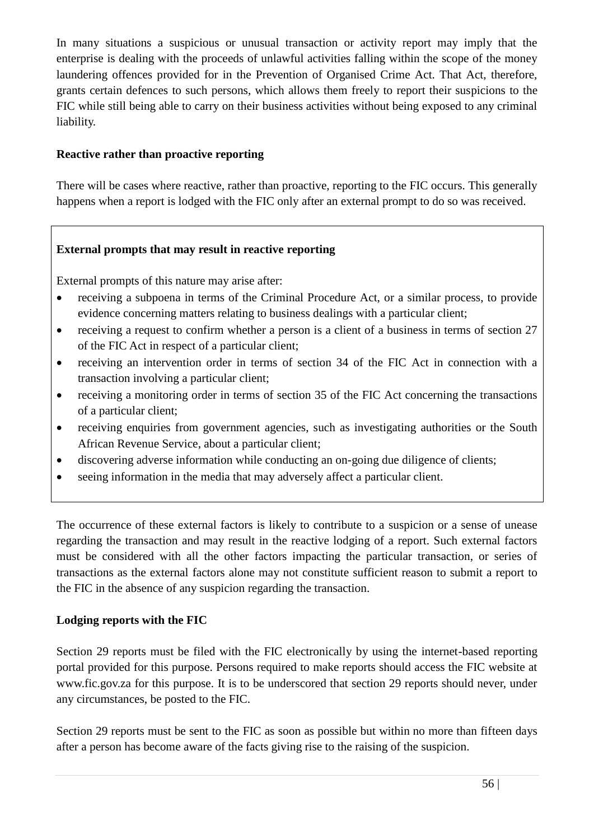In many situations a suspicious or unusual transaction or activity report may imply that the enterprise is dealing with the proceeds of unlawful activities falling within the scope of the money laundering offences provided for in the Prevention of Organised Crime Act. That Act, therefore, grants certain defences to such persons, which allows them freely to report their suspicions to the FIC while still being able to carry on their business activities without being exposed to any criminal liability.

# **Reactive rather than proactive reporting**

There will be cases where reactive, rather than proactive, reporting to the FIC occurs. This generally happens when a report is lodged with the FIC only after an external prompt to do so was received.

### **External prompts that may result in reactive reporting**

External prompts of this nature may arise after:

- receiving a subpoena in terms of the Criminal Procedure Act, or a similar process, to provide evidence concerning matters relating to business dealings with a particular client;
- receiving a request to confirm whether a person is a client of a business in terms of section 27 of the FIC Act in respect of a particular client;
- receiving an intervention order in terms of section 34 of the FIC Act in connection with a transaction involving a particular client;
- receiving a monitoring order in terms of section 35 of the FIC Act concerning the transactions of a particular client;
- receiving enquiries from government agencies, such as investigating authorities or the South African Revenue Service, about a particular client;
- discovering adverse information while conducting an on-going due diligence of clients;
- seeing information in the media that may adversely affect a particular client.

The occurrence of these external factors is likely to contribute to a suspicion or a sense of unease regarding the transaction and may result in the reactive lodging of a report. Such external factors must be considered with all the other factors impacting the particular transaction, or series of transactions as the external factors alone may not constitute sufficient reason to submit a report to the FIC in the absence of any suspicion regarding the transaction.

#### **Lodging reports with the FIC**

Section 29 reports must be filed with the FIC electronically by using the internet-based reporting portal provided for this purpose. Persons required to make reports should access the FIC website at [www.fic.gov.za](http://www.fic.gov.za/) for this purpose. It is to be underscored that section 29 reports should never, under any circumstances, be posted to the FIC.

Section 29 reports must be sent to the FIC as soon as possible but within no more than fifteen days after a person has become aware of the facts giving rise to the raising of the suspicion.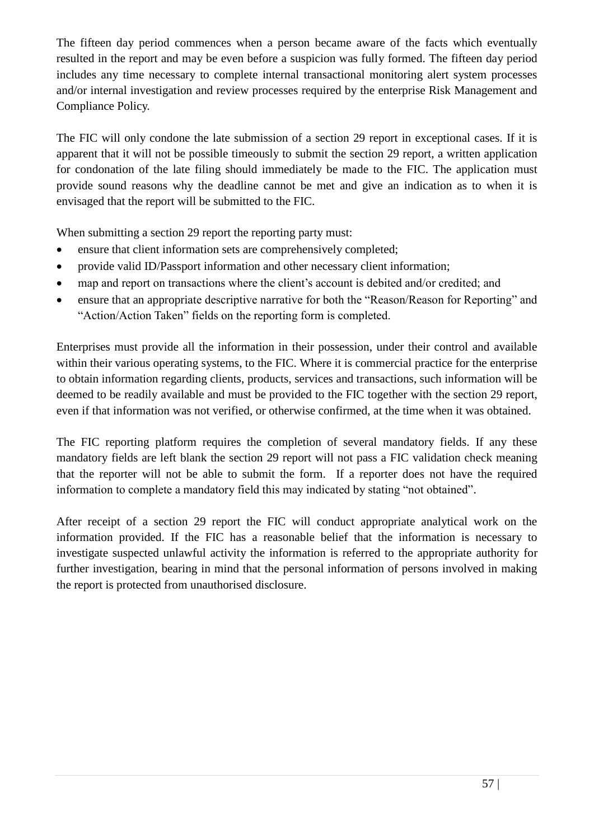The fifteen day period commences when a person became aware of the facts which eventually resulted in the report and may be even before a suspicion was fully formed. The fifteen day period includes any time necessary to complete internal transactional monitoring alert system processes and/or internal investigation and review processes required by the enterprise Risk Management and Compliance Policy.

The FIC will only condone the late submission of a section 29 report in exceptional cases. If it is apparent that it will not be possible timeously to submit the section 29 report, a written application for condonation of the late filing should immediately be made to the FIC. The application must provide sound reasons why the deadline cannot be met and give an indication as to when it is envisaged that the report will be submitted to the FIC.

When submitting a section 29 report the reporting party must:

- ensure that client information sets are comprehensively completed;
- provide valid ID/Passport information and other necessary client information;
- map and report on transactions where the client's account is debited and/or credited; and
- ensure that an appropriate descriptive narrative for both the "Reason/Reason for Reporting" and "Action/Action Taken" fields on the reporting form is completed.

Enterprises must provide all the information in their possession, under their control and available within their various operating systems, to the FIC. Where it is commercial practice for the enterprise to obtain information regarding clients, products, services and transactions, such information will be deemed to be readily available and must be provided to the FIC together with the section 29 report, even if that information was not verified, or otherwise confirmed, at the time when it was obtained.

The FIC reporting platform requires the completion of several mandatory fields. If any these mandatory fields are left blank the section 29 report will not pass a FIC validation check meaning that the reporter will not be able to submit the form. If a reporter does not have the required information to complete a mandatory field this may indicated by stating "not obtained".

After receipt of a section 29 report the FIC will conduct appropriate analytical work on the information provided. If the FIC has a reasonable belief that the information is necessary to investigate suspected unlawful activity the information is referred to the appropriate authority for further investigation, bearing in mind that the personal information of persons involved in making the report is protected from unauthorised disclosure.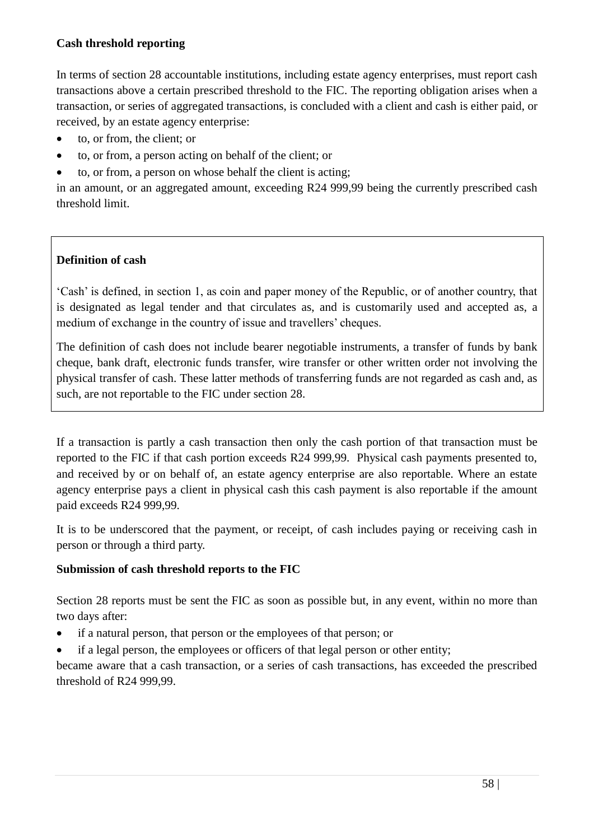### **Cash threshold reporting**

In terms of section 28 accountable institutions, including estate agency enterprises, must report cash transactions above a certain prescribed threshold to the FIC. The reporting obligation arises when a transaction, or series of aggregated transactions, is concluded with a client and cash is either paid, or received, by an estate agency enterprise:

- to, or from, the client; or
- to, or from, a person acting on behalf of the client; or
- to, or from, a person on whose behalf the client is acting;

in an amount, or an aggregated amount, exceeding R24 999,99 being the currently prescribed cash threshold limit.

# **Definition of cash**

'Cash' is defined, in section 1, as coin and paper money of the Republic, or of another country, that is designated as legal tender and that circulates as, and is customarily used and accepted as, a medium of exchange in the country of issue and travellers' cheques.

The definition of cash does not include bearer negotiable instruments, a transfer of funds by bank cheque, bank draft, electronic funds transfer, wire transfer or other written order not involving the physical transfer of cash. These latter methods of transferring funds are not regarded as cash and, as such, are not reportable to the FIC under section 28.

If a transaction is partly a cash transaction then only the cash portion of that transaction must be reported to the FIC if that cash portion exceeds R24 999,99. Physical cash payments presented to, and received by or on behalf of, an estate agency enterprise are also reportable. Where an estate agency enterprise pays a client in physical cash this cash payment is also reportable if the amount paid exceeds R24 999,99.

It is to be underscored that the payment, or receipt, of cash includes paying or receiving cash in person or through a third party.

# **Submission of cash threshold reports to the FIC**

Section 28 reports must be sent the FIC as soon as possible but, in any event, within no more than two days after:

- if a natural person, that person or the employees of that person; or
- if a legal person, the employees or officers of that legal person or other entity;

became aware that a cash transaction, or a series of cash transactions, has exceeded the prescribed threshold of R24 999,99.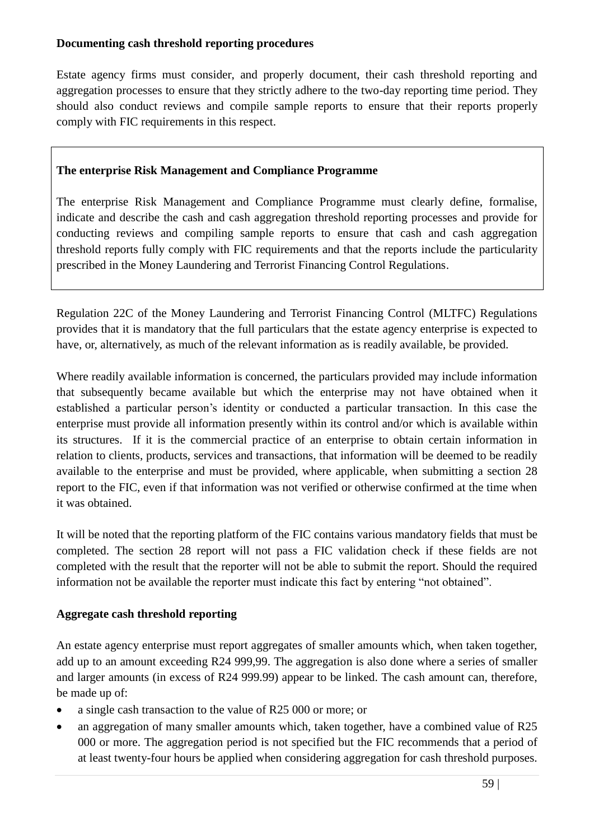#### **Documenting cash threshold reporting procedures**

Estate agency firms must consider, and properly document, their cash threshold reporting and aggregation processes to ensure that they strictly adhere to the two-day reporting time period. They should also conduct reviews and compile sample reports to ensure that their reports properly comply with FIC requirements in this respect.

### **The enterprise Risk Management and Compliance Programme**

The enterprise Risk Management and Compliance Programme must clearly define, formalise, indicate and describe the cash and cash aggregation threshold reporting processes and provide for conducting reviews and compiling sample reports to ensure that cash and cash aggregation threshold reports fully comply with FIC requirements and that the reports include the particularity prescribed in the Money Laundering and Terrorist Financing Control Regulations.

Regulation 22C of the Money Laundering and Terrorist Financing Control (MLTFC) Regulations provides that it is mandatory that the full particulars that the estate agency enterprise is expected to have, or, alternatively, as much of the relevant information as is readily available, be provided.

Where readily available information is concerned, the particulars provided may include information that subsequently became available but which the enterprise may not have obtained when it established a particular person's identity or conducted a particular transaction. In this case the enterprise must provide all information presently within its control and/or which is available within its structures. If it is the commercial practice of an enterprise to obtain certain information in relation to clients, products, services and transactions, that information will be deemed to be readily available to the enterprise and must be provided, where applicable, when submitting a section 28 report to the FIC, even if that information was not verified or otherwise confirmed at the time when it was obtained.

It will be noted that the reporting platform of the FIC contains various mandatory fields that must be completed. The section 28 report will not pass a FIC validation check if these fields are not completed with the result that the reporter will not be able to submit the report. Should the required information not be available the reporter must indicate this fact by entering "not obtained".

# **Aggregate cash threshold reporting**

An estate agency enterprise must report aggregates of smaller amounts which, when taken together, add up to an amount exceeding R24 999,99. The aggregation is also done where a series of smaller and larger amounts (in excess of R24 999.99) appear to be linked. The cash amount can, therefore, be made up of:

- a single cash transaction to the value of R25 000 or more; or
- an aggregation of many smaller amounts which, taken together, have a combined value of R25 000 or more. The aggregation period is not specified but the FIC recommends that a period of at least twenty-four hours be applied when considering aggregation for cash threshold purposes.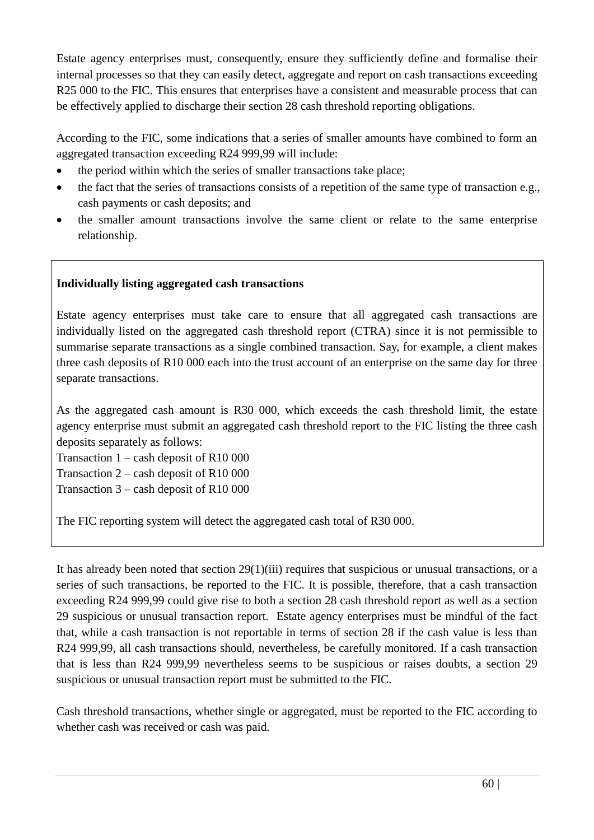Estate agency enterprises must, consequently, ensure they sufficiently define and formalise their internal processes so that they can easily detect, aggregate and report on cash transactions exceeding R25 000 to the FIC. This ensures that enterprises have a consistent and measurable process that can be effectively applied to discharge their section 28 cash threshold reporting obligations.

According to the FIC, some indications that a series of smaller amounts have combined to form an aggregated transaction exceeding R24 999,99 will include:

- the period within which the series of smaller transactions take place;
- the fact that the series of transactions consists of a repetition of the same type of transaction e.g., cash payments or cash deposits; and
- the smaller amount transactions involve the same client or relate to the same enterprise relationship.

# **Individually listing aggregated cash transactions**

Estate agency enterprises must take care to ensure that all aggregated cash transactions are individually listed on the aggregated cash threshold report (CTRA) since it is not permissible to summarise separate transactions as a single combined transaction. Say, for example, a client makes three cash deposits of R10 000 each into the trust account of an enterprise on the same day for three separate transactions.

As the aggregated cash amount is R30 000, which exceeds the cash threshold limit, the estate agency enterprise must submit an aggregated cash threshold report to the FIC listing the three cash deposits separately as follows:

Transaction 1 – cash deposit of R10 000

Transaction 2 – cash deposit of R10 000

Transaction 3 – cash deposit of R10 000

The FIC reporting system will detect the aggregated cash total of R30 000.

It has already been noted that section 29(1)(iii) requires that suspicious or unusual transactions, or a series of such transactions, be reported to the FIC. It is possible, therefore, that a cash transaction exceeding R24 999,99 could give rise to both a section 28 cash threshold report as well as a section 29 suspicious or unusual transaction report. Estate agency enterprises must be mindful of the fact that, while a cash transaction is not reportable in terms of section 28 if the cash value is less than R24 999,99, all cash transactions should, nevertheless, be carefully monitored. If a cash transaction that is less than R24 999,99 nevertheless seems to be suspicious or raises doubts, a section 29 suspicious or unusual transaction report must be submitted to the FIC.

Cash threshold transactions, whether single or aggregated, must be reported to the FIC according to whether cash was received or cash was paid.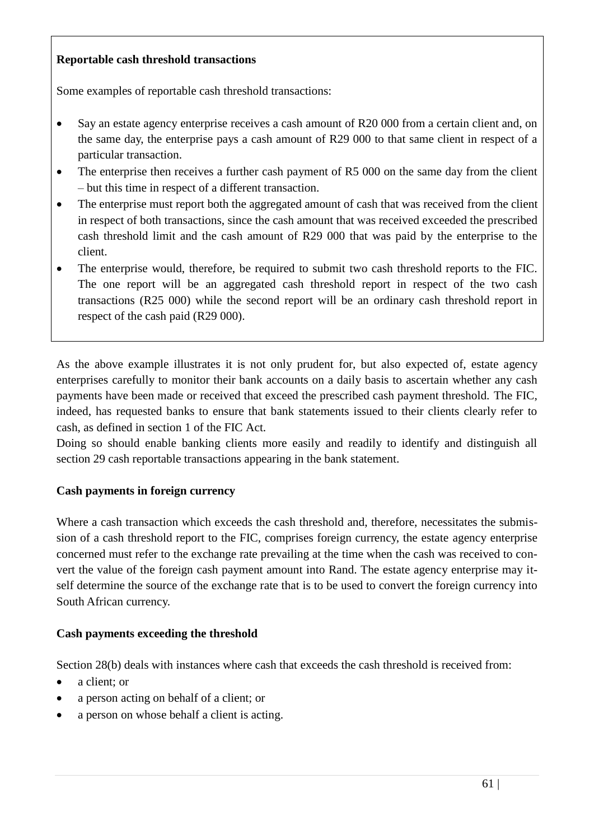### **Reportable cash threshold transactions**

Some examples of reportable cash threshold transactions:

- Say an estate agency enterprise receives a cash amount of R20 000 from a certain client and, on the same day, the enterprise pays a cash amount of R29 000 to that same client in respect of a particular transaction.
- The enterprise then receives a further cash payment of R5 000 on the same day from the client – but this time in respect of a different transaction.
- The enterprise must report both the aggregated amount of cash that was received from the client in respect of both transactions, since the cash amount that was received exceeded the prescribed cash threshold limit and the cash amount of R29 000 that was paid by the enterprise to the client.
- The enterprise would, therefore, be required to submit two cash threshold reports to the FIC. The one report will be an aggregated cash threshold report in respect of the two cash transactions (R25 000) while the second report will be an ordinary cash threshold report in respect of the cash paid (R29 000).

As the above example illustrates it is not only prudent for, but also expected of, estate agency enterprises carefully to monitor their bank accounts on a daily basis to ascertain whether any cash payments have been made or received that exceed the prescribed cash payment threshold. The FIC, indeed, has requested banks to ensure that bank statements issued to their clients clearly refer to cash, as defined in section 1 of the FIC Act.

Doing so should enable banking clients more easily and readily to identify and distinguish all section 29 cash reportable transactions appearing in the bank statement.

# **Cash payments in foreign currency**

Where a cash transaction which exceeds the cash threshold and, therefore, necessitates the submission of a cash threshold report to the FIC, comprises foreign currency, the estate agency enterprise concerned must refer to the exchange rate prevailing at the time when the cash was received to convert the value of the foreign cash payment amount into Rand. The estate agency enterprise may itself determine the source of the exchange rate that is to be used to convert the foreign currency into South African currency.

#### **Cash payments exceeding the threshold**

Section 28(b) deals with instances where cash that exceeds the cash threshold is received from:

- a client: or
- a person acting on behalf of a client; or
- a person on whose behalf a client is acting.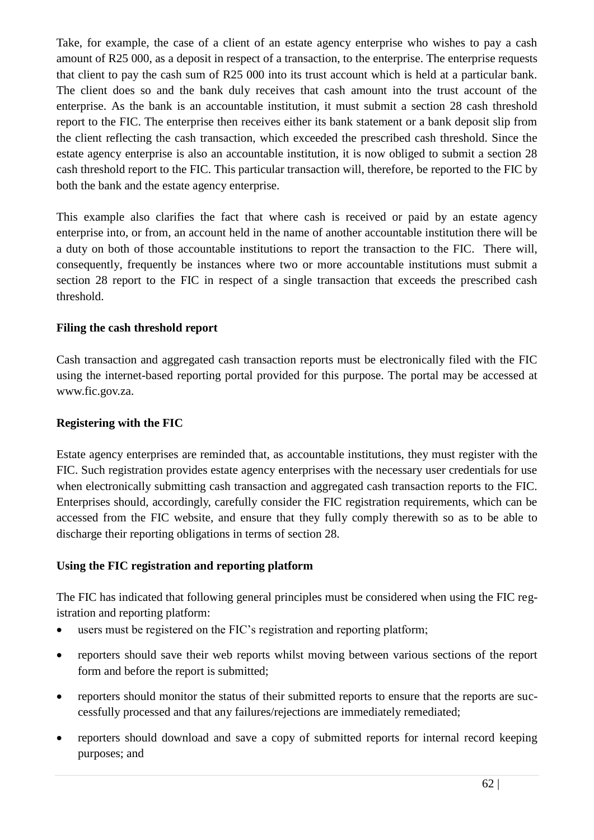Take, for example, the case of a client of an estate agency enterprise who wishes to pay a cash amount of R25 000, as a deposit in respect of a transaction, to the enterprise. The enterprise requests that client to pay the cash sum of R25 000 into its trust account which is held at a particular bank. The client does so and the bank duly receives that cash amount into the trust account of the enterprise. As the bank is an accountable institution, it must submit a section 28 cash threshold report to the FIC. The enterprise then receives either its bank statement or a bank deposit slip from the client reflecting the cash transaction, which exceeded the prescribed cash threshold. Since the estate agency enterprise is also an accountable institution, it is now obliged to submit a section 28 cash threshold report to the FIC. This particular transaction will, therefore, be reported to the FIC by both the bank and the estate agency enterprise.

This example also clarifies the fact that where cash is received or paid by an estate agency enterprise into, or from, an account held in the name of another accountable institution there will be a duty on both of those accountable institutions to report the transaction to the FIC. There will, consequently, frequently be instances where two or more accountable institutions must submit a section 28 report to the FIC in respect of a single transaction that exceeds the prescribed cash threshold.

### **Filing the cash threshold report**

Cash transaction and aggregated cash transaction reports must be electronically filed with the FIC using the internet-based reporting portal provided for this purpose. The portal may be accessed at [www.fic.gov.za.](http://www.fic.gov.za/)

#### **Registering with the FIC**

Estate agency enterprises are reminded that, as accountable institutions, they must register with the FIC. Such registration provides estate agency enterprises with the necessary user credentials for use when electronically submitting cash transaction and aggregated cash transaction reports to the FIC. Enterprises should, accordingly, carefully consider the FIC registration requirements, which can be accessed from the FIC website, and ensure that they fully comply therewith so as to be able to discharge their reporting obligations in terms of section 28.

#### **Using the FIC registration and reporting platform**

The FIC has indicated that following general principles must be considered when using the FIC registration and reporting platform:

- users must be registered on the FIC's registration and reporting platform;
- reporters should save their web reports whilst moving between various sections of the report form and before the report is submitted;
- reporters should monitor the status of their submitted reports to ensure that the reports are successfully processed and that any failures/rejections are immediately remediated;
- reporters should download and save a copy of submitted reports for internal record keeping purposes; and